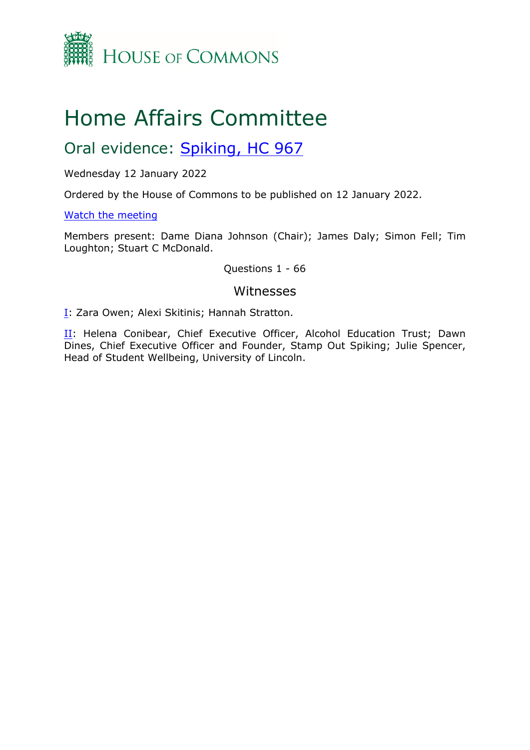

# Home Affairs Committee

Oral evidence: [Spiking,](https://committees.parliament.uk/work/1696/spiking/publications/) [HC](https://committees.parliament.uk/work/1696/spiking/publications/) [967](https://committees.parliament.uk/work/1696/spiking/publications/)

Wednesday 12 January 2022

Ordered by the House of Commons to be published on 12 January 2022.

[Watch](https://parliamentlive.tv/Event/Index/59c3c1d9-88cf-4f8e-97ba-00260b3b24a1) [the](https://parliamentlive.tv/Event/Index/59c3c1d9-88cf-4f8e-97ba-00260b3b24a1) [meeting](https://parliamentlive.tv/Event/Index/59c3c1d9-88cf-4f8e-97ba-00260b3b24a1)

Members present: Dame Diana Johnson (Chair); James Daly; Simon Fell; Tim Loughton; Stuart C McDonald.

Questions 1 - 66

## Witnesses

[I:](#page-1-0) Zara Owen; Alexi Skitinis; Hannah Stratton.

[II](#page-16-0): Helena Conibear, Chief Executive Officer, Alcohol Education Trust; Dawn Dines, Chief Executive Officer and Founder, Stamp Out Spiking; Julie Spencer, Head of Student Wellbeing, University of Lincoln.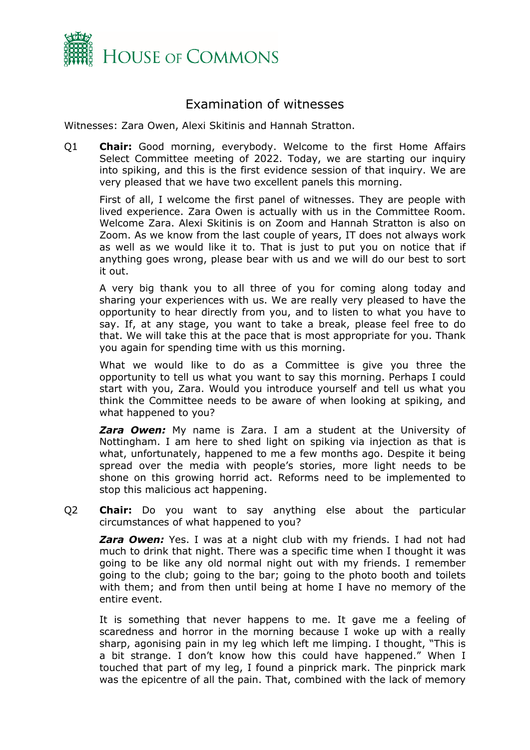

# <span id="page-1-0"></span>Examination of witnesses

Witnesses: Zara Owen, Alexi Skitinis and Hannah Stratton.

Q1 **Chair:** Good morning, everybody. Welcome to the first Home Affairs Select Committee meeting of 2022. Today, we are starting our inquiry into spiking, and this is the first evidence session of that inquiry. We are very pleased that we have two excellent panels this morning.

First of all, I welcome the first panel of witnesses. They are people with lived experience. Zara Owen is actually with us in the Committee Room. Welcome Zara. Alexi Skitinis is on Zoom and Hannah Stratton is also on Zoom. As we know from the last couple of years, IT does not always work as well as we would like it to. That is just to put you on notice that if anything goes wrong, please bear with us and we will do our best to sort it out.

A very big thank you to all three of you for coming along today and sharing your experiences with us. We are really very pleased to have the opportunity to hear directly from you, and to listen to what you have to say. If, at any stage, you want to take a break, please feel free to do that. We will take this at the pace that is most appropriate for you. Thank you again for spending time with us this morning.

What we would like to do as a Committee is give you three the opportunity to tell us what you want to say this morning. Perhaps I could start with you, Zara. Would you introduce yourself and tell us what you think the Committee needs to be aware of when looking at spiking, and what happened to you?

*Zara Owen:* My name is Zara. I am a student at the University of Nottingham. I am here to shed light on spiking via injection as that is what, unfortunately, happened to me a few months ago. Despite it being spread over the media with people's stories, more light needs to be shone on this growing horrid act. Reforms need to be implemented to stop this malicious act happening.

Q2 **Chair:** Do you want to say anything else about the particular circumstances of what happened to you?

*Zara Owen:* Yes. I was at a night club with my friends. I had not had much to drink that night. There was a specific time when I thought it was going to be like any old normal night out with my friends. I remember going to the club; going to the bar; going to the photo booth and toilets with them; and from then until being at home I have no memory of the entire event.

It is something that never happens to me. It gave me a feeling of scaredness and horror in the morning because I woke up with a really sharp, agonising pain in my leg which left me limping. I thought, "This is a bit strange. I don't know how this could have happened." When I touched that part of my leg, I found a pinprick mark. The pinprick mark was the epicentre of all the pain. That, combined with the lack of memory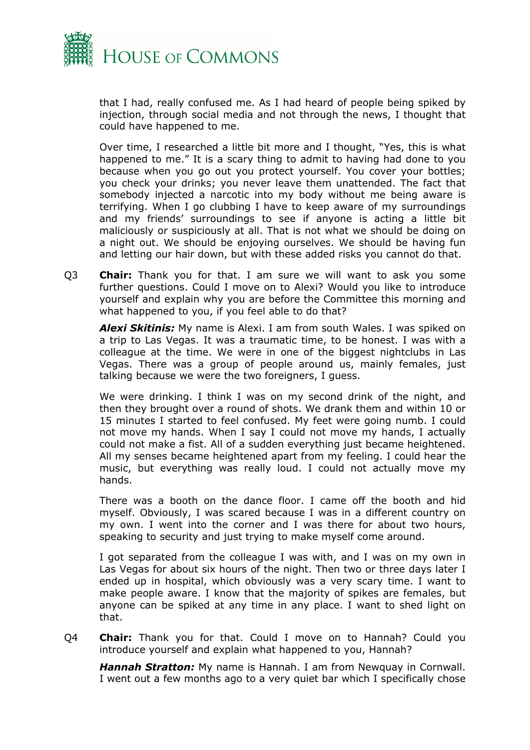

that I had, really confused me. As I had heard of people being spiked by injection, through social media and not through the news, I thought that could have happened to me.

Over time, I researched a little bit more and I thought, "Yes, this is what happened to me." It is a scary thing to admit to having had done to you because when you go out you protect yourself. You cover your bottles; you check your drinks; you never leave them unattended. The fact that somebody injected a narcotic into my body without me being aware is terrifying. When I go clubbing I have to keep aware of my surroundings and my friends' surroundings to see if anyone is acting a little bit maliciously or suspiciously at all. That is not what we should be doing on a night out. We should be enjoying ourselves. We should be having fun and letting our hair down, but with these added risks you cannot do that.

Q3 **Chair:** Thank you for that. I am sure we will want to ask you some further questions. Could I move on to Alexi? Would you like to introduce yourself and explain why you are before the Committee this morning and what happened to you, if you feel able to do that?

*Alexi Skitinis:* My name is Alexi. I am from south Wales. I was spiked on a trip to Las Vegas. It was a traumatic time, to be honest. I was with a colleague at the time. We were in one of the biggest nightclubs in Las Vegas. There was a group of people around us, mainly females, just talking because we were the two foreigners, I guess.

We were drinking. I think I was on my second drink of the night, and then they brought over a round of shots. We drank them and within 10 or 15 minutes I started to feel confused. My feet were going numb. I could not move my hands. When I say I could not move my hands, I actually could not make a fist. All of a sudden everything just became heightened. All my senses became heightened apart from my feeling. I could hear the music, but everything was really loud. I could not actually move my hands.

There was a booth on the dance floor. I came off the booth and hid myself. Obviously, I was scared because I was in a different country on my own. I went into the corner and I was there for about two hours, speaking to security and just trying to make myself come around.

I got separated from the colleague I was with, and I was on my own in Las Vegas for about six hours of the night. Then two or three days later I ended up in hospital, which obviously was a very scary time. I want to make people aware. I know that the majority of spikes are females, but anyone can be spiked at any time in any place. I want to shed light on that.

Q4 **Chair:** Thank you for that. Could I move on to Hannah? Could you introduce yourself and explain what happened to you, Hannah?

*Hannah Stratton:* My name is Hannah. I am from Newquay in Cornwall. I went out a few months ago to a very quiet bar which I specifically chose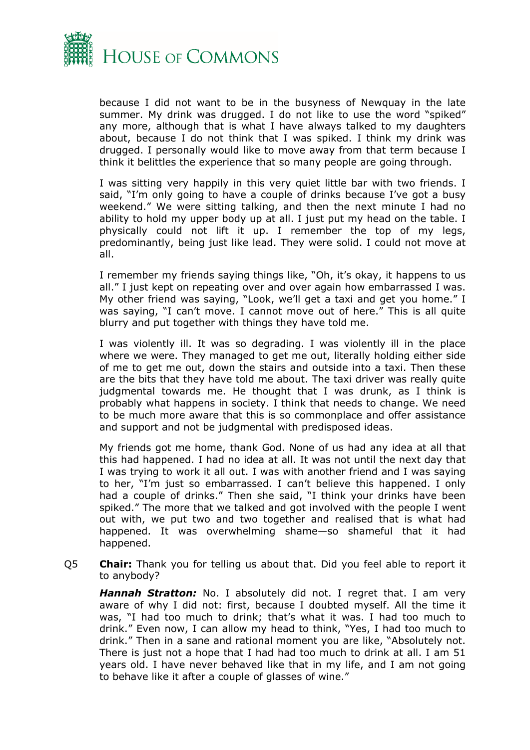

because I did not want to be in the busyness of Newquay in the late summer. My drink was drugged. I do not like to use the word "spiked" any more, although that is what I have always talked to my daughters about, because I do not think that I was spiked. I think my drink was drugged. I personally would like to move away from that term because I think it belittles the experience that so many people are going through.

I was sitting very happily in this very quiet little bar with two friends. I said, "I'm only going to have a couple of drinks because I've got a busy weekend." We were sitting talking, and then the next minute I had no ability to hold my upper body up at all. I just put my head on the table. I physically could not lift it up. I remember the top of my legs, predominantly, being just like lead. They were solid. I could not move at all.

I remember my friends saying things like, "Oh, it's okay, it happens to us all." I just kept on repeating over and over again how embarrassed I was. My other friend was saying, "Look, we'll get a taxi and get you home." I was saying, "I can't move. I cannot move out of here." This is all quite blurry and put together with things they have told me.

I was violently ill. It was so degrading. I was violently ill in the place where we were. They managed to get me out, literally holding either side of me to get me out, down the stairs and outside into a taxi. Then these are the bits that they have told me about. The taxi driver was really quite judgmental towards me. He thought that I was drunk, as I think is probably what happens in society. I think that needs to change. We need to be much more aware that this is so commonplace and offer assistance and support and not be judgmental with predisposed ideas.

My friends got me home, thank God. None of us had any idea at all that this had happened. I had no idea at all. It was not until the next day that I was trying to work it all out. I was with another friend and I was saying to her, "I'm just so embarrassed. I can't believe this happened. I only had a couple of drinks." Then she said, "I think your drinks have been spiked." The more that we talked and got involved with the people I went out with, we put two and two together and realised that is what had happened. It was overwhelming shame—so shameful that it had happened.

Q5 **Chair:** Thank you for telling us about that. Did you feel able to report it to anybody?

*Hannah Stratton:* No. I absolutely did not. I regret that. I am very aware of why I did not: first, because I doubted myself. All the time it was, "I had too much to drink; that's what it was. I had too much to drink." Even now, I can allow my head to think, "Yes, I had too much to drink." Then in a sane and rational moment you are like, "Absolutely not. There is just not a hope that I had had too much to drink at all. I am 51 years old. I have never behaved like that in my life, and I am not going to behave like it after a couple of glasses of wine."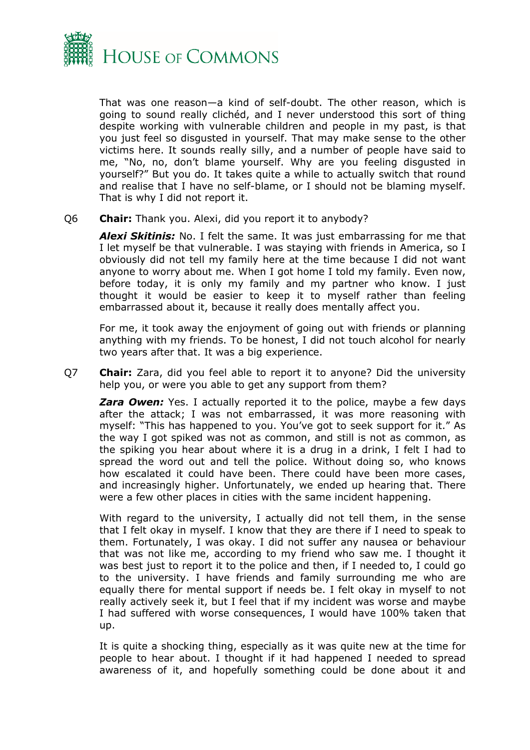

That was one reason—a kind of self-doubt. The other reason, which is going to sound really clichéd, and I never understood this sort of thing despite working with vulnerable children and people in my past, is that you just feel so disgusted in yourself. That may make sense to the other victims here. It sounds really silly, and a number of people have said to me, "No, no, don't blame yourself. Why are you feeling disgusted in yourself?" But you do. It takes quite a while to actually switch that round and realise that I have no self-blame, or I should not be blaming myself. That is why I did not report it.

#### Q6 **Chair:** Thank you. Alexi, did you report it to anybody?

*Alexi Skitinis:* No. I felt the same. It was just embarrassing for me that I let myself be that vulnerable. I was staying with friends in America, so I obviously did not tell my family here at the time because I did not want anyone to worry about me. When I got home I told my family. Even now, before today, it is only my family and my partner who know. I just thought it would be easier to keep it to myself rather than feeling embarrassed about it, because it really does mentally affect you.

For me, it took away the enjoyment of going out with friends or planning anything with my friends. To be honest, I did not touch alcohol for nearly two years after that. It was a big experience.

Q7 **Chair:** Zara, did you feel able to report it to anyone? Did the university help you, or were you able to get any support from them?

*Zara Owen:* Yes. I actually reported it to the police, maybe a few days after the attack; I was not embarrassed, it was more reasoning with myself: "This has happened to you. You've got to seek support for it." As the way I got spiked was not as common, and still is not as common, as the spiking you hear about where it is a drug in a drink, I felt I had to spread the word out and tell the police. Without doing so, who knows how escalated it could have been. There could have been more cases, and increasingly higher. Unfortunately, we ended up hearing that. There were a few other places in cities with the same incident happening.

With regard to the university, I actually did not tell them, in the sense that I felt okay in myself. I know that they are there if I need to speak to them. Fortunately, I was okay. I did not suffer any nausea or behaviour that was not like me, according to my friend who saw me. I thought it was best just to report it to the police and then, if I needed to, I could go to the university. I have friends and family surrounding me who are equally there for mental support if needs be. I felt okay in myself to not really actively seek it, but I feel that if my incident was worse and maybe I had suffered with worse consequences, I would have 100% taken that up.

It is quite a shocking thing, especially as it was quite new at the time for people to hear about. I thought if it had happened I needed to spread awareness of it, and hopefully something could be done about it and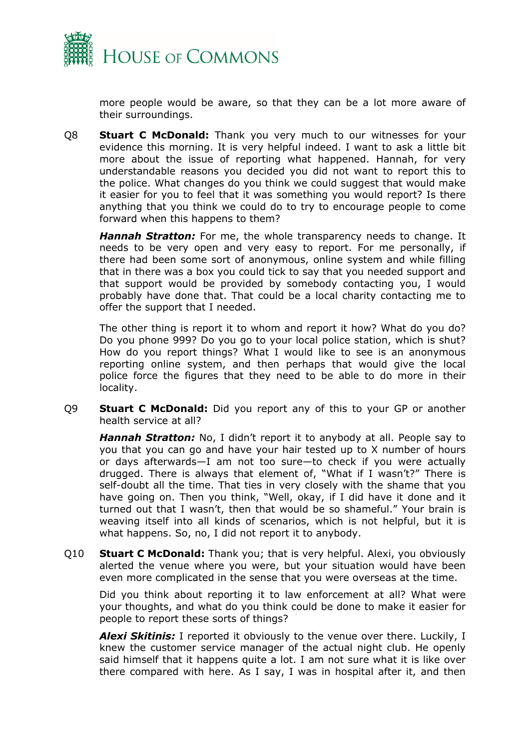

more people would be aware, so that they can be a lot more aware of their surroundings.

Q8 **Stuart C McDonald:** Thank you very much to our witnesses for your evidence this morning. It is very helpful indeed. I want to ask a little bit more about the issue of reporting what happened. Hannah, for very understandable reasons you decided you did not want to report this to the police. What changes do you think we could suggest that would make it easier for you to feel that it was something you would report? Is there anything that you think we could do to try to encourage people to come forward when this happens to them?

*Hannah Stratton:* For me, the whole transparency needs to change. It needs to be very open and very easy to report. For me personally, if there had been some sort of anonymous, online system and while filling that in there was a box you could tick to say that you needed support and that support would be provided by somebody contacting you, I would probably have done that. That could be a local charity contacting me to offer the support that I needed.

The other thing is report it to whom and report it how? What do you do? Do you phone 999? Do you go to your local police station, which is shut? How do you report things? What I would like to see is an anonymous reporting online system, and then perhaps that would give the local police force the figures that they need to be able to do more in their locality.

Q9 **Stuart C McDonald:** Did you report any of this to your GP or another health service at all?

*Hannah Stratton:* No, I didn't report it to anybody at all. People say to you that you can go and have your hair tested up to X number of hours or days afterwards—I am not too sure—to check if you were actually drugged. There is always that element of, "What if I wasn't?" There is self-doubt all the time. That ties in very closely with the shame that you have going on. Then you think, "Well, okay, if I did have it done and it turned out that I wasn't, then that would be so shameful." Your brain is weaving itself into all kinds of scenarios, which is not helpful, but it is what happens. So, no, I did not report it to anybody.

Q10 **Stuart C McDonald:** Thank you; that is very helpful. Alexi, you obviously alerted the venue where you were, but your situation would have been even more complicated in the sense that you were overseas at the time.

Did you think about reporting it to law enforcement at all? What were your thoughts, and what do you think could be done to make it easier for people to report these sorts of things?

*Alexi Skitinis:* I reported it obviously to the venue over there. Luckily, I knew the customer service manager of the actual night club. He openly said himself that it happens quite a lot. I am not sure what it is like over there compared with here. As I say, I was in hospital after it, and then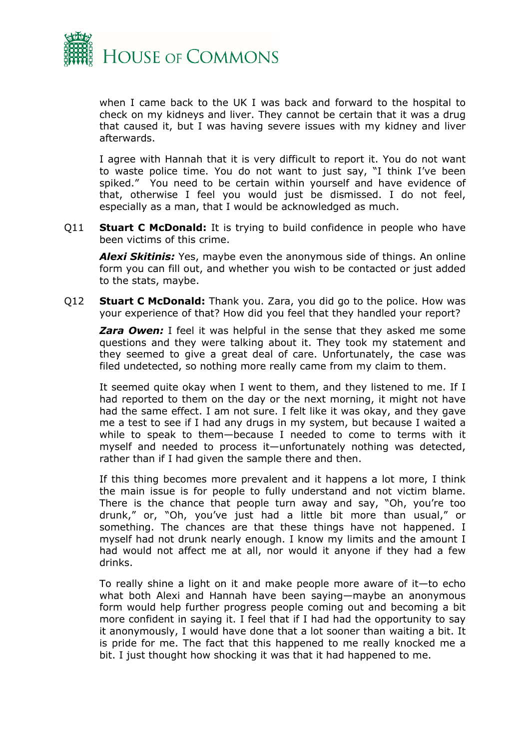

when I came back to the UK I was back and forward to the hospital to check on my kidneys and liver. They cannot be certain that it was a drug that caused it, but I was having severe issues with my kidney and liver afterwards.

I agree with Hannah that it is very difficult to report it. You do not want to waste police time. You do not want to just say, "I think I've been spiked." You need to be certain within yourself and have evidence of that, otherwise I feel you would just be dismissed. I do not feel, especially as a man, that I would be acknowledged as much.

Q11 **Stuart C McDonald:** It is trying to build confidence in people who have been victims of this crime.

*Alexi Skitinis:* Yes, maybe even the anonymous side of things. An online form you can fill out, and whether you wish to be contacted or just added to the stats, maybe.

Q12 **Stuart C McDonald:** Thank you. Zara, you did go to the police. How was your experience of that? How did you feel that they handled your report?

**Zara Owen:** I feel it was helpful in the sense that they asked me some questions and they were talking about it. They took my statement and they seemed to give a great deal of care. Unfortunately, the case was filed undetected, so nothing more really came from my claim to them.

It seemed quite okay when I went to them, and they listened to me. If I had reported to them on the day or the next morning, it might not have had the same effect. I am not sure. I felt like it was okay, and they gave me a test to see if I had any drugs in my system, but because I waited a while to speak to them—because I needed to come to terms with it myself and needed to process it—unfortunately nothing was detected, rather than if I had given the sample there and then.

If this thing becomes more prevalent and it happens a lot more, I think the main issue is for people to fully understand and not victim blame. There is the chance that people turn away and say, "Oh, you're too drunk," or, "Oh, you've just had a little bit more than usual," or something. The chances are that these things have not happened. I myself had not drunk nearly enough. I know my limits and the amount I had would not affect me at all, nor would it anyone if they had a few drinks.

To really shine a light on it and make people more aware of it—to echo what both Alexi and Hannah have been saying—maybe an anonymous form would help further progress people coming out and becoming a bit more confident in saying it. I feel that if I had had the opportunity to say it anonymously, I would have done that a lot sooner than waiting a bit. It is pride for me. The fact that this happened to me really knocked me a bit. I just thought how shocking it was that it had happened to me.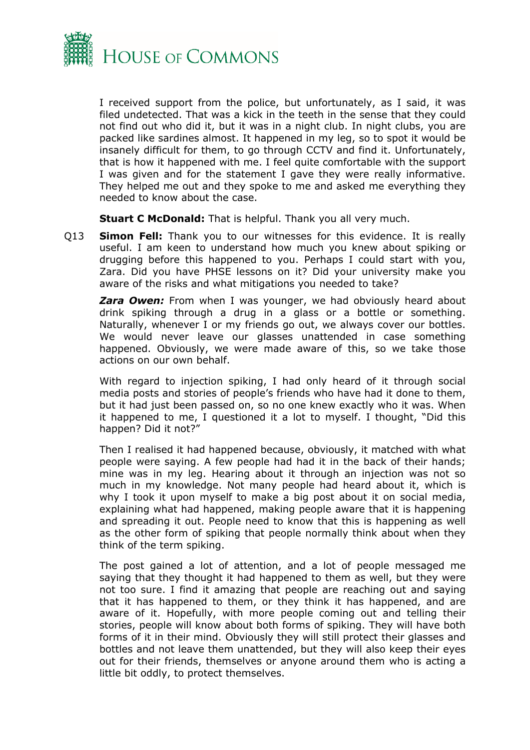

I received support from the police, but unfortunately, as I said, it was filed undetected. That was a kick in the teeth in the sense that they could not find out who did it, but it was in a night club. In night clubs, you are packed like sardines almost. It happened in my leg, so to spot it would be insanely difficult for them, to go through CCTV and find it. Unfortunately, that is how it happened with me. I feel quite comfortable with the support I was given and for the statement I gave they were really informative. They helped me out and they spoke to me and asked me everything they needed to know about the case.

**Stuart C McDonald:** That is helpful. Thank you all very much.

Q13 **Simon Fell:** Thank you to our witnesses for this evidence. It is really useful. I am keen to understand how much you knew about spiking or drugging before this happened to you. Perhaps I could start with you, Zara. Did you have PHSE lessons on it? Did your university make you aware of the risks and what mitigations you needed to take?

**Zara Owen:** From when I was younger, we had obviously heard about drink spiking through a drug in a glass or a bottle or something. Naturally, whenever I or my friends go out, we always cover our bottles. We would never leave our glasses unattended in case something happened. Obviously, we were made aware of this, so we take those actions on our own behalf.

With regard to injection spiking, I had only heard of it through social media posts and stories of people's friends who have had it done to them, but it had just been passed on, so no one knew exactly who it was. When it happened to me, I questioned it a lot to myself. I thought, "Did this happen? Did it not?"

Then I realised it had happened because, obviously, it matched with what people were saying. A few people had had it in the back of their hands; mine was in my leg. Hearing about it through an injection was not so much in my knowledge. Not many people had heard about it, which is why I took it upon myself to make a big post about it on social media, explaining what had happened, making people aware that it is happening and spreading it out. People need to know that this is happening as well as the other form of spiking that people normally think about when they think of the term spiking.

The post gained a lot of attention, and a lot of people messaged me saying that they thought it had happened to them as well, but they were not too sure. I find it amazing that people are reaching out and saying that it has happened to them, or they think it has happened, and are aware of it. Hopefully, with more people coming out and telling their stories, people will know about both forms of spiking. They will have both forms of it in their mind. Obviously they will still protect their glasses and bottles and not leave them unattended, but they will also keep their eyes out for their friends, themselves or anyone around them who is acting a little bit oddly, to protect themselves.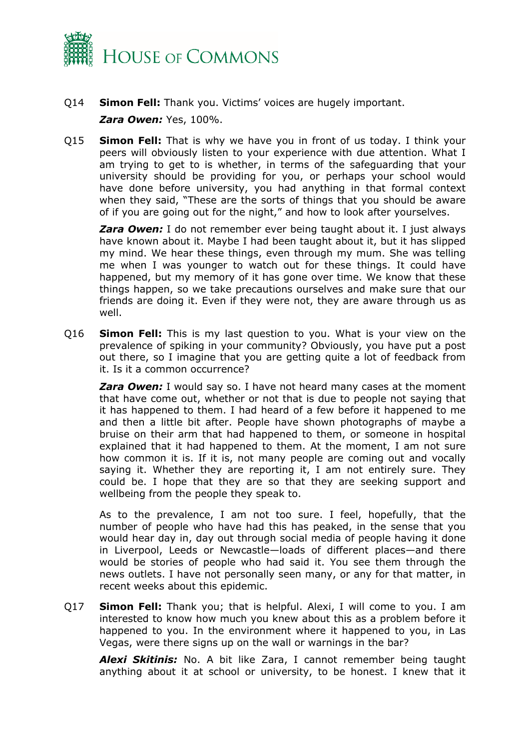

- Q14 **Simon Fell:** Thank you. Victims' voices are hugely important. *Zara Owen:* Yes, 100%.
- Q15 **Simon Fell:** That is why we have you in front of us today. I think your peers will obviously listen to your experience with due attention. What I am trying to get to is whether, in terms of the safeguarding that your university should be providing for you, or perhaps your school would have done before university, you had anything in that formal context when they said, "These are the sorts of things that you should be aware of if you are going out for the night," and how to look after yourselves.

*Zara Owen:* I do not remember ever being taught about it. I just always have known about it. Maybe I had been taught about it, but it has slipped my mind. We hear these things, even through my mum. She was telling me when I was younger to watch out for these things. It could have happened, but my memory of it has gone over time. We know that these things happen, so we take precautions ourselves and make sure that our friends are doing it. Even if they were not, they are aware through us as well.

Q16 **Simon Fell:** This is my last question to you. What is your view on the prevalence of spiking in your community? Obviously, you have put a post out there, so I imagine that you are getting quite a lot of feedback from it. Is it a common occurrence?

*Zara Owen:* I would say so. I have not heard many cases at the moment that have come out, whether or not that is due to people not saying that it has happened to them. I had heard of a few before it happened to me and then a little bit after. People have shown photographs of maybe a bruise on their arm that had happened to them, or someone in hospital explained that it had happened to them. At the moment, I am not sure how common it is. If it is, not many people are coming out and vocally saying it. Whether they are reporting it, I am not entirely sure. They could be. I hope that they are so that they are seeking support and wellbeing from the people they speak to.

As to the prevalence, I am not too sure. I feel, hopefully, that the number of people who have had this has peaked, in the sense that you would hear day in, day out through social media of people having it done in Liverpool, Leeds or Newcastle—loads of different places—and there would be stories of people who had said it. You see them through the news outlets. I have not personally seen many, or any for that matter, in recent weeks about this epidemic.

Q17 **Simon Fell:** Thank you; that is helpful. Alexi, I will come to you. I am interested to know how much you knew about this as a problem before it happened to you. In the environment where it happened to you, in Las Vegas, were there signs up on the wall or warnings in the bar?

*Alexi Skitinis:* No. A bit like Zara, I cannot remember being taught anything about it at school or university, to be honest. I knew that it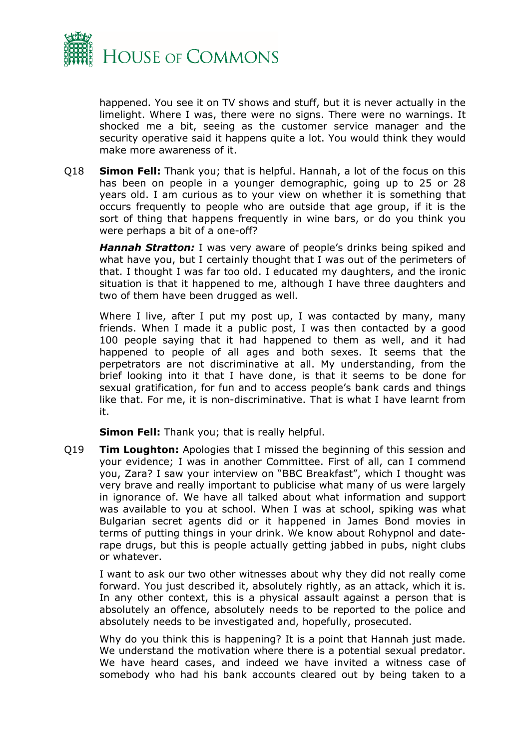

happened. You see it on TV shows and stuff, but it is never actually in the limelight. Where I was, there were no signs. There were no warnings. It shocked me a bit, seeing as the customer service manager and the security operative said it happens quite a lot. You would think they would make more awareness of it.

Q18 **Simon Fell:** Thank you; that is helpful. Hannah, a lot of the focus on this has been on people in a younger demographic, going up to 25 or 28 years old. I am curious as to your view on whether it is something that occurs frequently to people who are outside that age group, if it is the sort of thing that happens frequently in wine bars, or do you think you were perhaps a bit of a one-off?

*Hannah Stratton:* I was very aware of people's drinks being spiked and what have you, but I certainly thought that I was out of the perimeters of that. I thought I was far too old. I educated my daughters, and the ironic situation is that it happened to me, although I have three daughters and two of them have been drugged as well.

Where I live, after I put my post up, I was contacted by many, many friends. When I made it a public post, I was then contacted by a good 100 people saying that it had happened to them as well, and it had happened to people of all ages and both sexes. It seems that the perpetrators are not discriminative at all. My understanding, from the brief looking into it that I have done, is that it seems to be done for sexual gratification, for fun and to access people's bank cards and things like that. For me, it is non-discriminative. That is what I have learnt from it.

**Simon Fell:** Thank you; that is really helpful.

Q19 **Tim Loughton:** Apologies that I missed the beginning of this session and your evidence; I was in another Committee. First of all, can I commend you, Zara? I saw your interview on "BBC Breakfast", which I thought was very brave and really important to publicise what many of us were largely in ignorance of. We have all talked about what information and support was available to you at school. When I was at school, spiking was what Bulgarian secret agents did or it happened in James Bond movies in terms of putting things in your drink. We know about Rohypnol and daterape drugs, but this is people actually getting jabbed in pubs, night clubs or whatever.

I want to ask our two other witnesses about why they did not really come forward. You just described it, absolutely rightly, as an attack, which it is. In any other context, this is a physical assault against a person that is absolutely an offence, absolutely needs to be reported to the police and absolutely needs to be investigated and, hopefully, prosecuted.

Why do you think this is happening? It is a point that Hannah just made. We understand the motivation where there is a potential sexual predator. We have heard cases, and indeed we have invited a witness case of somebody who had his bank accounts cleared out by being taken to a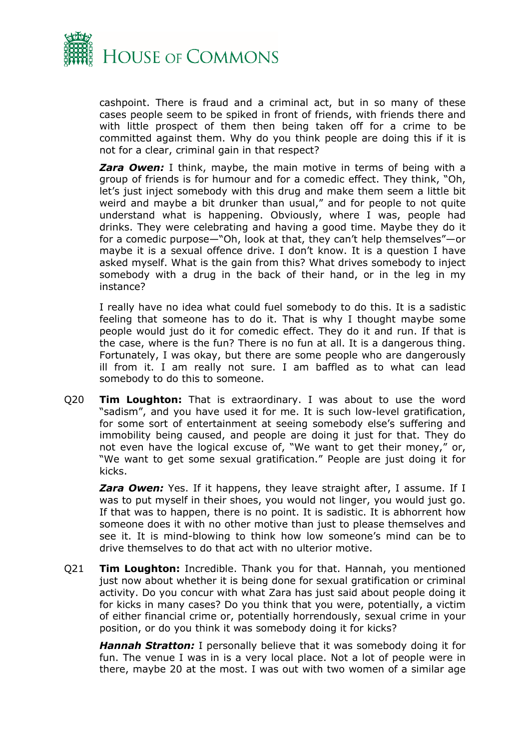

cashpoint. There is fraud and a criminal act, but in so many of these cases people seem to be spiked in front of friends, with friends there and with little prospect of them then being taken off for a crime to be committed against them. Why do you think people are doing this if it is not for a clear, criminal gain in that respect?

*Zara Owen:* I think, maybe, the main motive in terms of being with a group of friends is for humour and for a comedic effect. They think, "Oh, let's just inject somebody with this drug and make them seem a little bit weird and maybe a bit drunker than usual," and for people to not quite understand what is happening. Obviously, where I was, people had drinks. They were celebrating and having a good time. Maybe they do it for a comedic purpose—"Oh, look at that, they can't help themselves"—or maybe it is a sexual offence drive. I don't know. It is a question I have asked myself. What is the gain from this? What drives somebody to inject somebody with a drug in the back of their hand, or in the leg in my instance?

I really have no idea what could fuel somebody to do this. It is a sadistic feeling that someone has to do it. That is why I thought maybe some people would just do it for comedic effect. They do it and run. If that is the case, where is the fun? There is no fun at all. It is a dangerous thing. Fortunately, I was okay, but there are some people who are dangerously ill from it. I am really not sure. I am baffled as to what can lead somebody to do this to someone.

Q20 **Tim Loughton:** That is extraordinary. I was about to use the word "sadism", and you have used it for me. It is such low-level gratification, for some sort of entertainment at seeing somebody else's suffering and immobility being caused, and people are doing it just for that. They do not even have the logical excuse of, "We want to get their money," or, "We want to get some sexual gratification." People are just doing it for kicks.

**Zara Owen:** Yes. If it happens, they leave straight after, I assume. If I was to put myself in their shoes, you would not linger, you would just go. If that was to happen, there is no point. It is sadistic. It is abhorrent how someone does it with no other motive than just to please themselves and see it. It is mind-blowing to think how low someone's mind can be to drive themselves to do that act with no ulterior motive.

Q21 **Tim Loughton:** Incredible. Thank you for that. Hannah, you mentioned just now about whether it is being done for sexual gratification or criminal activity. Do you concur with what Zara has just said about people doing it for kicks in many cases? Do you think that you were, potentially, a victim of either financial crime or, potentially horrendously, sexual crime in your position, or do you think it was somebody doing it for kicks?

*Hannah Stratton:* I personally believe that it was somebody doing it for fun. The venue I was in is a very local place. Not a lot of people were in there, maybe 20 at the most. I was out with two women of a similar age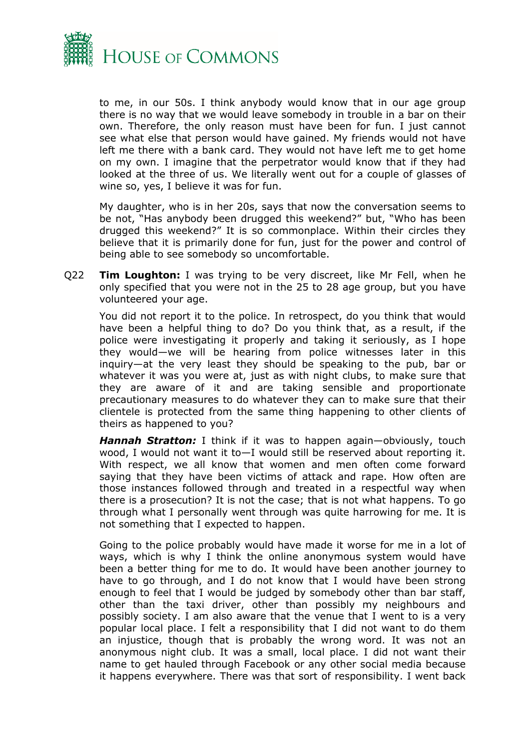

to me, in our 50s. I think anybody would know that in our age group there is no way that we would leave somebody in trouble in a bar on their own. Therefore, the only reason must have been for fun. I just cannot see what else that person would have gained. My friends would not have left me there with a bank card. They would not have left me to get home on my own. I imagine that the perpetrator would know that if they had looked at the three of us. We literally went out for a couple of glasses of wine so, yes, I believe it was for fun.

My daughter, who is in her 20s, says that now the conversation seems to be not, "Has anybody been drugged this weekend?" but, "Who has been drugged this weekend?" It is so commonplace. Within their circles they believe that it is primarily done for fun, just for the power and control of being able to see somebody so uncomfortable.

Q22 **Tim Loughton:** I was trying to be very discreet, like Mr Fell, when he only specified that you were not in the 25 to 28 age group, but you have volunteered your age.

You did not report it to the police. In retrospect, do you think that would have been a helpful thing to do? Do you think that, as a result, if the police were investigating it properly and taking it seriously, as I hope they would—we will be hearing from police witnesses later in this inquiry—at the very least they should be speaking to the pub, bar or whatever it was you were at, just as with night clubs, to make sure that they are aware of it and are taking sensible and proportionate precautionary measures to do whatever they can to make sure that their clientele is protected from the same thing happening to other clients of theirs as happened to you?

*Hannah Stratton:* I think if it was to happen again—obviously, touch wood, I would not want it to—I would still be reserved about reporting it. With respect, we all know that women and men often come forward saying that they have been victims of attack and rape. How often are those instances followed through and treated in a respectful way when there is a prosecution? It is not the case; that is not what happens. To go through what I personally went through was quite harrowing for me. It is not something that I expected to happen.

Going to the police probably would have made it worse for me in a lot of ways, which is why I think the online anonymous system would have been a better thing for me to do. It would have been another journey to have to go through, and I do not know that I would have been strong enough to feel that I would be judged by somebody other than bar staff, other than the taxi driver, other than possibly my neighbours and possibly society. I am also aware that the venue that I went to is a very popular local place. I felt a responsibility that I did not want to do them an injustice, though that is probably the wrong word. It was not an anonymous night club. It was a small, local place. I did not want their name to get hauled through Facebook or any other social media because it happens everywhere. There was that sort of responsibility. I went back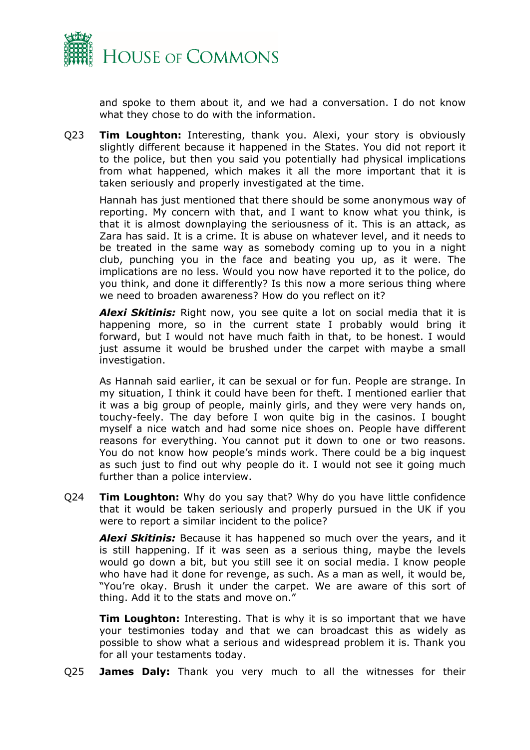

and spoke to them about it, and we had a conversation. I do not know what they chose to do with the information.

Q23 **Tim Loughton:** Interesting, thank you. Alexi, your story is obviously slightly different because it happened in the States. You did not report it to the police, but then you said you potentially had physical implications from what happened, which makes it all the more important that it is taken seriously and properly investigated at the time.

Hannah has just mentioned that there should be some anonymous way of reporting. My concern with that, and I want to know what you think, is that it is almost downplaying the seriousness of it. This is an attack, as Zara has said. It is a crime. It is abuse on whatever level, and it needs to be treated in the same way as somebody coming up to you in a night club, punching you in the face and beating you up, as it were. The implications are no less. Would you now have reported it to the police, do you think, and done it differently? Is this now a more serious thing where we need to broaden awareness? How do you reflect on it?

*Alexi Skitinis:* Right now, you see quite a lot on social media that it is happening more, so in the current state I probably would bring it forward, but I would not have much faith in that, to be honest. I would just assume it would be brushed under the carpet with maybe a small investigation.

As Hannah said earlier, it can be sexual or for fun. People are strange. In my situation, I think it could have been for theft. I mentioned earlier that it was a big group of people, mainly girls, and they were very hands on, touchy-feely. The day before I won quite big in the casinos. I bought myself a nice watch and had some nice shoes on. People have different reasons for everything. You cannot put it down to one or two reasons. You do not know how people's minds work. There could be a big inquest as such just to find out why people do it. I would not see it going much further than a police interview.

Q24 **Tim Loughton:** Why do you say that? Why do you have little confidence that it would be taken seriously and properly pursued in the UK if you were to report a similar incident to the police?

*Alexi Skitinis:* Because it has happened so much over the years, and it is still happening. If it was seen as a serious thing, maybe the levels would go down a bit, but you still see it on social media. I know people who have had it done for revenge, as such. As a man as well, it would be, "You're okay. Brush it under the carpet. We are aware of this sort of thing. Add it to the stats and move on."

**Tim Loughton:** Interesting. That is why it is so important that we have your testimonies today and that we can broadcast this as widely as possible to show what a serious and widespread problem it is. Thank you for all your testaments today.

Q25 **James Daly:** Thank you very much to all the witnesses for their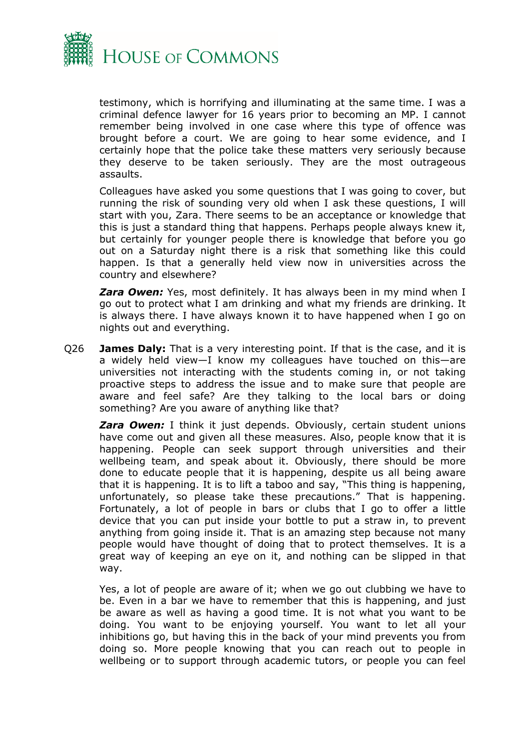

testimony, which is horrifying and illuminating at the same time. I was a criminal defence lawyer for 16 years prior to becoming an MP. I cannot remember being involved in one case where this type of offence was brought before a court. We are going to hear some evidence, and I certainly hope that the police take these matters very seriously because they deserve to be taken seriously. They are the most outrageous assaults.

Colleagues have asked you some questions that I was going to cover, but running the risk of sounding very old when I ask these questions, I will start with you, Zara. There seems to be an acceptance or knowledge that this is just a standard thing that happens. Perhaps people always knew it, but certainly for younger people there is knowledge that before you go out on a Saturday night there is a risk that something like this could happen. Is that a generally held view now in universities across the country and elsewhere?

*Zara Owen:* Yes, most definitely. It has always been in my mind when I go out to protect what I am drinking and what my friends are drinking. It is always there. I have always known it to have happened when I go on nights out and everything.

Q26 **James Daly:** That is a very interesting point. If that is the case, and it is a widely held view—I know my colleagues have touched on this—are universities not interacting with the students coming in, or not taking proactive steps to address the issue and to make sure that people are aware and feel safe? Are they talking to the local bars or doing something? Are you aware of anything like that?

**Zara Owen:** I think it just depends. Obviously, certain student unions have come out and given all these measures. Also, people know that it is happening. People can seek support through universities and their wellbeing team, and speak about it. Obviously, there should be more done to educate people that it is happening, despite us all being aware that it is happening. It is to lift a taboo and say, "This thing is happening, unfortunately, so please take these precautions." That is happening. Fortunately, a lot of people in bars or clubs that I go to offer a little device that you can put inside your bottle to put a straw in, to prevent anything from going inside it. That is an amazing step because not many people would have thought of doing that to protect themselves. It is a great way of keeping an eye on it, and nothing can be slipped in that way.

Yes, a lot of people are aware of it; when we go out clubbing we have to be. Even in a bar we have to remember that this is happening, and just be aware as well as having a good time. It is not what you want to be doing. You want to be enjoying yourself. You want to let all your inhibitions go, but having this in the back of your mind prevents you from doing so. More people knowing that you can reach out to people in wellbeing or to support through academic tutors, or people you can feel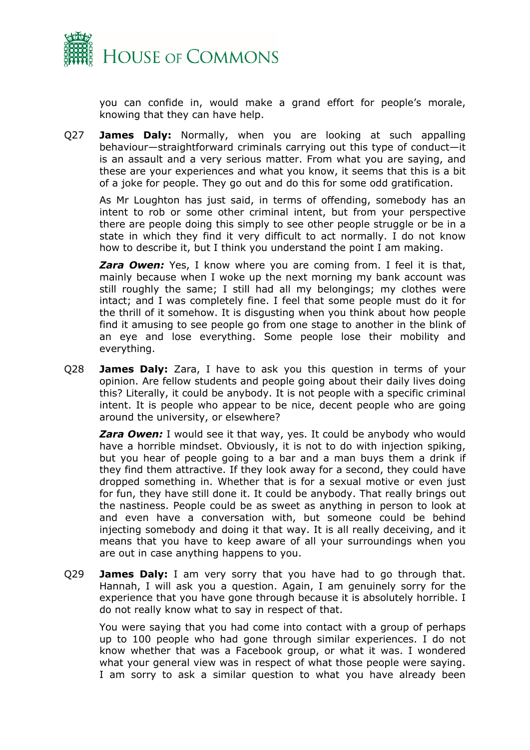

you can confide in, would make a grand effort for people's morale, knowing that they can have help.

Q27 **James Daly:** Normally, when you are looking at such appalling behaviour—straightforward criminals carrying out this type of conduct—it is an assault and a very serious matter. From what you are saying, and these are your experiences and what you know, it seems that this is a bit of a joke for people. They go out and do this for some odd gratification.

As Mr Loughton has just said, in terms of offending, somebody has an intent to rob or some other criminal intent, but from your perspective there are people doing this simply to see other people struggle or be in a state in which they find it very difficult to act normally. I do not know how to describe it, but I think you understand the point I am making.

**Zara Owen:** Yes, I know where you are coming from. I feel it is that, mainly because when I woke up the next morning my bank account was still roughly the same; I still had all my belongings; my clothes were intact; and I was completely fine. I feel that some people must do it for the thrill of it somehow. It is disgusting when you think about how people find it amusing to see people go from one stage to another in the blink of an eye and lose everything. Some people lose their mobility and everything.

Q28 **James Daly:** Zara, I have to ask you this question in terms of your opinion. Are fellow students and people going about their daily lives doing this? Literally, it could be anybody. It is not people with a specific criminal intent. It is people who appear to be nice, decent people who are going around the university, or elsewhere?

**Zara Owen:** I would see it that way, yes. It could be anybody who would have a horrible mindset. Obviously, it is not to do with injection spiking, but you hear of people going to a bar and a man buys them a drink if they find them attractive. If they look away for a second, they could have dropped something in. Whether that is for a sexual motive or even just for fun, they have still done it. It could be anybody. That really brings out the nastiness. People could be as sweet as anything in person to look at and even have a conversation with, but someone could be behind injecting somebody and doing it that way. It is all really deceiving, and it means that you have to keep aware of all your surroundings when you are out in case anything happens to you.

Q29 **James Daly:** I am very sorry that you have had to go through that. Hannah, I will ask you a question. Again, I am genuinely sorry for the experience that you have gone through because it is absolutely horrible. I do not really know what to say in respect of that.

You were saying that you had come into contact with a group of perhaps up to 100 people who had gone through similar experiences. I do not know whether that was a Facebook group, or what it was. I wondered what your general view was in respect of what those people were saying. I am sorry to ask a similar question to what you have already been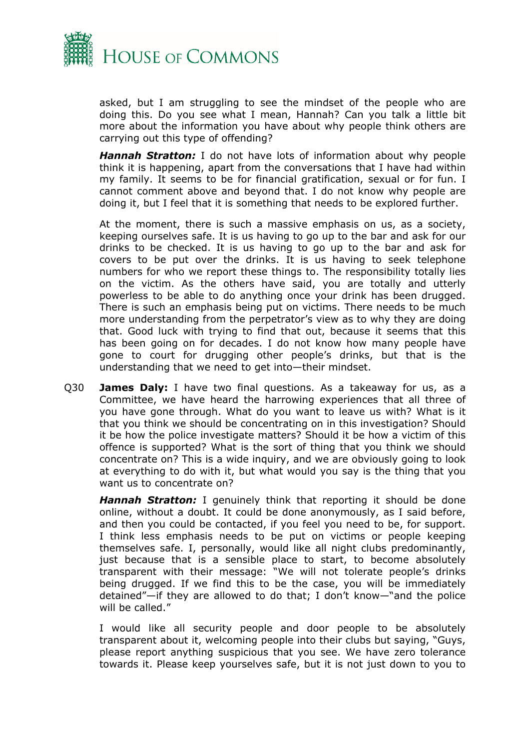

asked, but I am struggling to see the mindset of the people who are doing this. Do you see what I mean, Hannah? Can you talk a little bit more about the information you have about why people think others are carrying out this type of offending?

*Hannah Stratton:* I do not have lots of information about why people think it is happening, apart from the conversations that I have had within my family. It seems to be for financial gratification, sexual or for fun. I cannot comment above and beyond that. I do not know why people are doing it, but I feel that it is something that needs to be explored further.

At the moment, there is such a massive emphasis on us, as a society, keeping ourselves safe. It is us having to go up to the bar and ask for our drinks to be checked. It is us having to go up to the bar and ask for covers to be put over the drinks. It is us having to seek telephone numbers for who we report these things to. The responsibility totally lies on the victim. As the others have said, you are totally and utterly powerless to be able to do anything once your drink has been drugged. There is such an emphasis being put on victims. There needs to be much more understanding from the perpetrator's view as to why they are doing that. Good luck with trying to find that out, because it seems that this has been going on for decades. I do not know how many people have gone to court for drugging other people's drinks, but that is the understanding that we need to get into—their mindset.

Q30 **James Daly:** I have two final questions. As a takeaway for us, as a Committee, we have heard the harrowing experiences that all three of you have gone through. What do you want to leave us with? What is it that you think we should be concentrating on in this investigation? Should it be how the police investigate matters? Should it be how a victim of this offence is supported? What is the sort of thing that you think we should concentrate on? This is a wide inquiry, and we are obviously going to look at everything to do with it, but what would you say is the thing that you want us to concentrate on?

*Hannah Stratton:* I genuinely think that reporting it should be done online, without a doubt. It could be done anonymously, as I said before, and then you could be contacted, if you feel you need to be, for support. I think less emphasis needs to be put on victims or people keeping themselves safe. I, personally, would like all night clubs predominantly, just because that is a sensible place to start, to become absolutely transparent with their message: "We will not tolerate people's drinks being drugged. If we find this to be the case, you will be immediately detained"—if they are allowed to do that; I don't know—"and the police will be called."

I would like all security people and door people to be absolutely transparent about it, welcoming people into their clubs but saying, "Guys, please report anything suspicious that you see. We have zero tolerance towards it. Please keep yourselves safe, but it is not just down to you to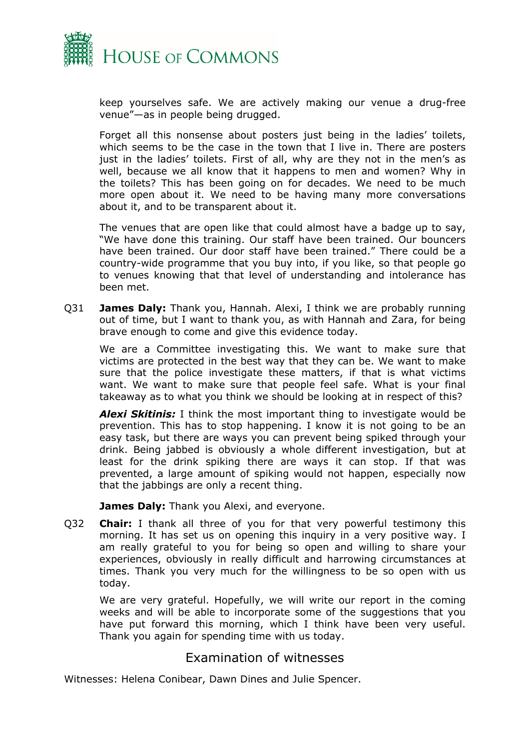

keep yourselves safe. We are actively making our venue a drug-free venue"—as in people being drugged.

Forget all this nonsense about posters just being in the ladies' toilets, which seems to be the case in the town that I live in. There are posters just in the ladies' toilets. First of all, why are they not in the men's as well, because we all know that it happens to men and women? Why in the toilets? This has been going on for decades. We need to be much more open about it. We need to be having many more conversations about it, and to be transparent about it.

The venues that are open like that could almost have a badge up to say, "We have done this training. Our staff have been trained. Our bouncers have been trained. Our door staff have been trained." There could be a country-wide programme that you buy into, if you like, so that people go to venues knowing that that level of understanding and intolerance has been met.

Q31 **James Daly:** Thank you, Hannah. Alexi, I think we are probably running out of time, but I want to thank you, as with Hannah and Zara, for being brave enough to come and give this evidence today.

We are a Committee investigating this. We want to make sure that victims are protected in the best way that they can be. We want to make sure that the police investigate these matters, if that is what victims want. We want to make sure that people feel safe. What is your final takeaway as to what you think we should be looking at in respect of this?

*Alexi Skitinis:* I think the most important thing to investigate would be prevention. This has to stop happening. I know it is not going to be an easy task, but there are ways you can prevent being spiked through your drink. Being jabbed is obviously a whole different investigation, but at least for the drink spiking there are ways it can stop. If that was prevented, a large amount of spiking would not happen, especially now that the jabbings are only a recent thing.

**James Daly:** Thank you Alexi, and everyone.

Q32 **Chair:** I thank all three of you for that very powerful testimony this morning. It has set us on opening this inquiry in a very positive way. I am really grateful to you for being so open and willing to share your experiences, obviously in really difficult and harrowing circumstances at times. Thank you very much for the willingness to be so open with us today.

We are very grateful. Hopefully, we will write our report in the coming weeks and will be able to incorporate some of the suggestions that you have put forward this morning, which I think have been very useful. Thank you again for spending time with us today.

### <span id="page-16-0"></span>Examination of witnesses

Witnesses: Helena Conibear, Dawn Dines and Julie Spencer.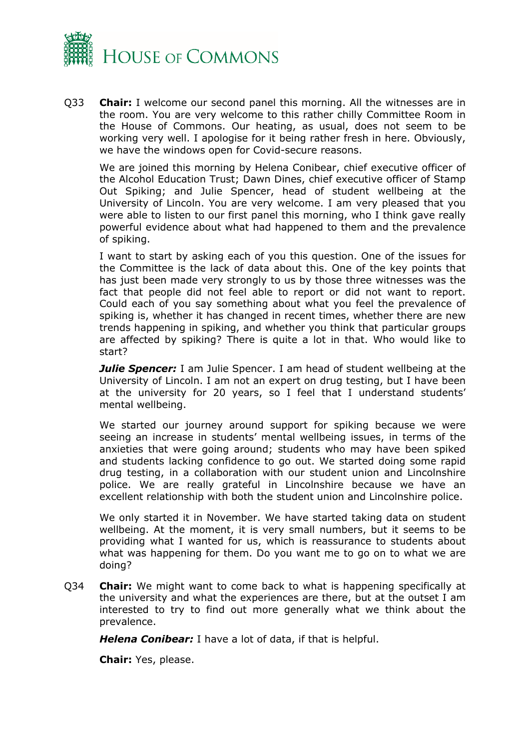

Q33 **Chair:** I welcome our second panel this morning. All the witnesses are in the room. You are very welcome to this rather chilly Committee Room in the House of Commons. Our heating, as usual, does not seem to be working very well. I apologise for it being rather fresh in here. Obviously, we have the windows open for Covid-secure reasons.

We are joined this morning by Helena Conibear, chief executive officer of the Alcohol Education Trust; Dawn Dines, chief executive officer of Stamp Out Spiking; and Julie Spencer, head of student wellbeing at the University of Lincoln. You are very welcome. I am very pleased that you were able to listen to our first panel this morning, who I think gave really powerful evidence about what had happened to them and the prevalence of spiking.

I want to start by asking each of you this question. One of the issues for the Committee is the lack of data about this. One of the key points that has just been made very strongly to us by those three witnesses was the fact that people did not feel able to report or did not want to report. Could each of you say something about what you feel the prevalence of spiking is, whether it has changed in recent times, whether there are new trends happening in spiking, and whether you think that particular groups are affected by spiking? There is quite a lot in that. Who would like to start?

**Julie Spencer:** I am Julie Spencer. I am head of student wellbeing at the University of Lincoln. I am not an expert on drug testing, but I have been at the university for 20 years, so I feel that I understand students' mental wellbeing.

We started our journey around support for spiking because we were seeing an increase in students' mental wellbeing issues, in terms of the anxieties that were going around; students who may have been spiked and students lacking confidence to go out. We started doing some rapid drug testing, in a collaboration with our student union and Lincolnshire police. We are really grateful in Lincolnshire because we have an excellent relationship with both the student union and Lincolnshire police.

We only started it in November. We have started taking data on student wellbeing. At the moment, it is very small numbers, but it seems to be providing what I wanted for us, which is reassurance to students about what was happening for them. Do you want me to go on to what we are doing?

Q34 **Chair:** We might want to come back to what is happening specifically at the university and what the experiences are there, but at the outset I am interested to try to find out more generally what we think about the prevalence.

*Helena Conibear:* I have a lot of data, if that is helpful.

**Chair:** Yes, please.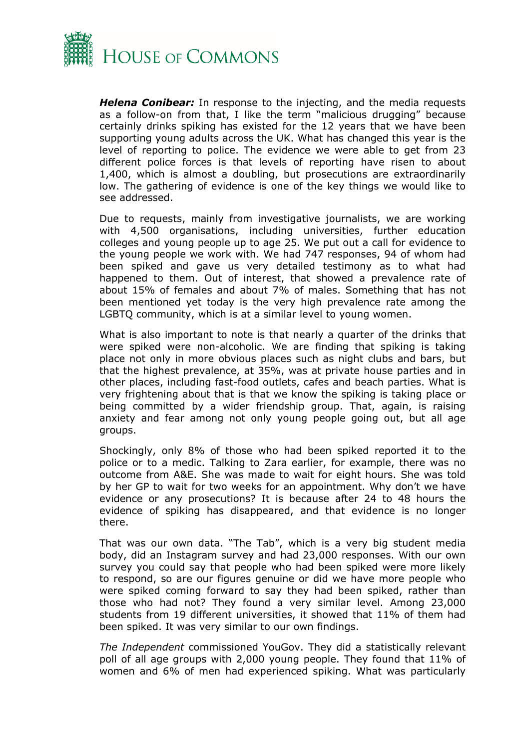

*Helena Conibear:* In response to the injecting, and the media requests as a follow-on from that, I like the term "malicious drugging" because certainly drinks spiking has existed for the 12 years that we have been supporting young adults across the UK. What has changed this year is the level of reporting to police. The evidence we were able to get from 23 different police forces is that levels of reporting have risen to about 1,400, which is almost a doubling, but prosecutions are extraordinarily low. The gathering of evidence is one of the key things we would like to see addressed.

Due to requests, mainly from investigative journalists, we are working with 4,500 organisations, including universities, further education colleges and young people up to age 25. We put out a call for evidence to the young people we work with. We had 747 responses, 94 of whom had been spiked and gave us very detailed testimony as to what had happened to them. Out of interest, that showed a prevalence rate of about 15% of females and about 7% of males. Something that has not been mentioned yet today is the very high prevalence rate among the LGBTQ community, which is at a similar level to young women.

What is also important to note is that nearly a quarter of the drinks that were spiked were non-alcoholic. We are finding that spiking is taking place not only in more obvious places such as night clubs and bars, but that the highest prevalence, at 35%, was at private house parties and in other places, including fast-food outlets, cafes and beach parties. What is very frightening about that is that we know the spiking is taking place or being committed by a wider friendship group. That, again, is raising anxiety and fear among not only young people going out, but all age groups.

Shockingly, only 8% of those who had been spiked reported it to the police or to a medic. Talking to Zara earlier, for example, there was no outcome from A&E. She was made to wait for eight hours. She was told by her GP to wait for two weeks for an appointment. Why don't we have evidence or any prosecutions? It is because after 24 to 48 hours the evidence of spiking has disappeared, and that evidence is no longer there.

That was our own data. "The Tab", which is a very big student media body, did an Instagram survey and had 23,000 responses. With our own survey you could say that people who had been spiked were more likely to respond, so are our figures genuine or did we have more people who were spiked coming forward to say they had been spiked, rather than those who had not? They found a very similar level. Among 23,000 students from 19 different universities, it showed that 11% of them had been spiked. It was very similar to our own findings.

*The Independent* commissioned YouGov. They did a statistically relevant poll of all age groups with 2,000 young people. They found that 11% of women and 6% of men had experienced spiking. What was particularly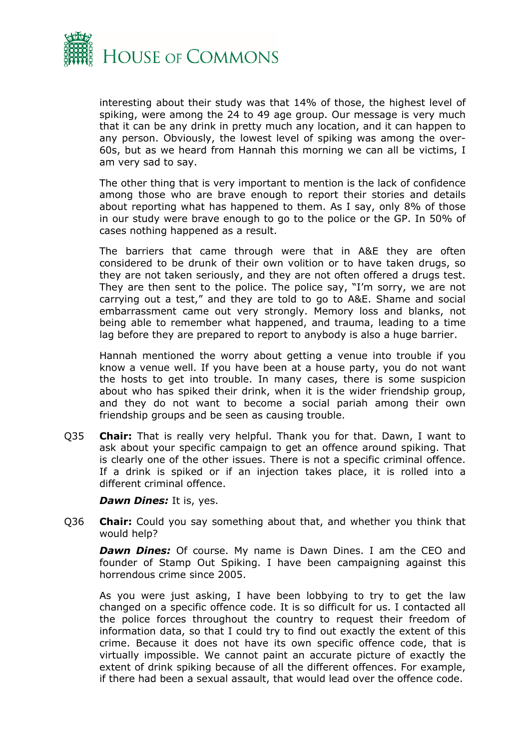

interesting about their study was that 14% of those, the highest level of spiking, were among the 24 to 49 age group. Our message is very much that it can be any drink in pretty much any location, and it can happen to any person. Obviously, the lowest level of spiking was among the over-60s, but as we heard from Hannah this morning we can all be victims, I am very sad to say.

The other thing that is very important to mention is the lack of confidence among those who are brave enough to report their stories and details about reporting what has happened to them. As I say, only 8% of those in our study were brave enough to go to the police or the GP. In 50% of cases nothing happened as a result.

The barriers that came through were that in A&E they are often considered to be drunk of their own volition or to have taken drugs, so they are not taken seriously, and they are not often offered a drugs test. They are then sent to the police. The police say, "I'm sorry, we are not carrying out a test," and they are told to go to A&E. Shame and social embarrassment came out very strongly. Memory loss and blanks, not being able to remember what happened, and trauma, leading to a time lag before they are prepared to report to anybody is also a huge barrier.

Hannah mentioned the worry about getting a venue into trouble if you know a venue well. If you have been at a house party, you do not want the hosts to get into trouble. In many cases, there is some suspicion about who has spiked their drink, when it is the wider friendship group, and they do not want to become a social pariah among their own friendship groups and be seen as causing trouble.

Q35 **Chair:** That is really very helpful. Thank you for that. Dawn, I want to ask about your specific campaign to get an offence around spiking. That is clearly one of the other issues. There is not a specific criminal offence. If a drink is spiked or if an injection takes place, it is rolled into a different criminal offence.

*Dawn Dines:* It is, yes.

Q36 **Chair:** Could you say something about that, and whether you think that would help?

*Dawn Dines:* Of course. My name is Dawn Dines. I am the CEO and founder of Stamp Out Spiking. I have been campaigning against this horrendous crime since 2005.

As you were just asking, I have been lobbying to try to get the law changed on a specific offence code. It is so difficult for us. I contacted all the police forces throughout the country to request their freedom of information data, so that I could try to find out exactly the extent of this crime. Because it does not have its own specific offence code, that is virtually impossible. We cannot paint an accurate picture of exactly the extent of drink spiking because of all the different offences. For example, if there had been a sexual assault, that would lead over the offence code.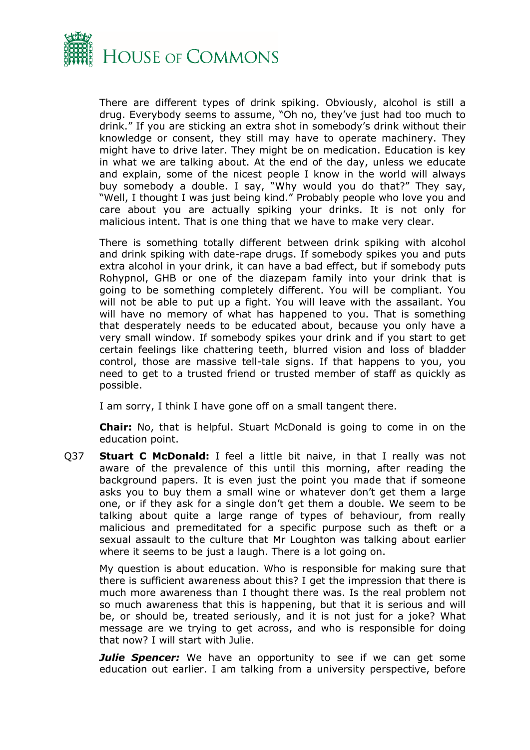

There are different types of drink spiking. Obviously, alcohol is still a drug. Everybody seems to assume, "Oh no, they've just had too much to drink." If you are sticking an extra shot in somebody's drink without their knowledge or consent, they still may have to operate machinery. They might have to drive later. They might be on medication. Education is key in what we are talking about. At the end of the day, unless we educate and explain, some of the nicest people I know in the world will always buy somebody a double. I say, "Why would you do that?" They say, "Well, I thought I was just being kind." Probably people who love you and care about you are actually spiking your drinks. It is not only for malicious intent. That is one thing that we have to make very clear.

There is something totally different between drink spiking with alcohol and drink spiking with date-rape drugs. If somebody spikes you and puts extra alcohol in your drink, it can have a bad effect, but if somebody puts Rohypnol, GHB or one of the diazepam family into your drink that is going to be something completely different. You will be compliant. You will not be able to put up a fight. You will leave with the assailant. You will have no memory of what has happened to you. That is something that desperately needs to be educated about, because you only have a very small window. If somebody spikes your drink and if you start to get certain feelings like chattering teeth, blurred vision and loss of bladder control, those are massive tell-tale signs. If that happens to you, you need to get to a trusted friend or trusted member of staff as quickly as possible.

I am sorry, I think I have gone off on a small tangent there.

**Chair:** No, that is helpful. Stuart McDonald is going to come in on the education point.

Q37 **Stuart C McDonald:** I feel a little bit naive, in that I really was not aware of the prevalence of this until this morning, after reading the background papers. It is even just the point you made that if someone asks you to buy them a small wine or whatever don't get them a large one, or if they ask for a single don't get them a double. We seem to be talking about quite a large range of types of behaviour, from really malicious and premeditated for a specific purpose such as theft or a sexual assault to the culture that Mr Loughton was talking about earlier where it seems to be just a laugh. There is a lot going on.

My question is about education. Who is responsible for making sure that there is sufficient awareness about this? I get the impression that there is much more awareness than I thought there was. Is the real problem not so much awareness that this is happening, but that it is serious and will be, or should be, treated seriously, and it is not just for a joke? What message are we trying to get across, and who is responsible for doing that now? I will start with Julie.

*Julie Spencer:* We have an opportunity to see if we can get some education out earlier. I am talking from a university perspective, before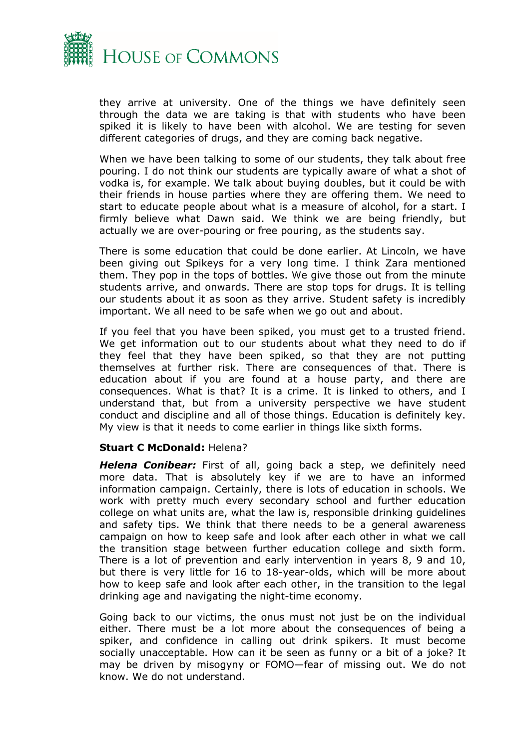

they arrive at university. One of the things we have definitely seen through the data we are taking is that with students who have been spiked it is likely to have been with alcohol. We are testing for seven different categories of drugs, and they are coming back negative.

When we have been talking to some of our students, they talk about free pouring. I do not think our students are typically aware of what a shot of vodka is, for example. We talk about buying doubles, but it could be with their friends in house parties where they are offering them. We need to start to educate people about what is a measure of alcohol, for a start. I firmly believe what Dawn said. We think we are being friendly, but actually we are over-pouring or free pouring, as the students say.

There is some education that could be done earlier. At Lincoln, we have been giving out Spikeys for a very long time. I think Zara mentioned them. They pop in the tops of bottles. We give those out from the minute students arrive, and onwards. There are stop tops for drugs. It is telling our students about it as soon as they arrive. Student safety is incredibly important. We all need to be safe when we go out and about.

If you feel that you have been spiked, you must get to a trusted friend. We get information out to our students about what they need to do if they feel that they have been spiked, so that they are not putting themselves at further risk. There are consequences of that. There is education about if you are found at a house party, and there are consequences. What is that? It is a crime. It is linked to others, and I understand that, but from a university perspective we have student conduct and discipline and all of those things. Education is definitely key. My view is that it needs to come earlier in things like sixth forms.

#### **Stuart C McDonald:** Helena?

*Helena Conibear:* First of all, going back a step, we definitely need more data. That is absolutely key if we are to have an informed information campaign. Certainly, there is lots of education in schools. We work with pretty much every secondary school and further education college on what units are, what the law is, responsible drinking guidelines and safety tips. We think that there needs to be a general awareness campaign on how to keep safe and look after each other in what we call the transition stage between further education college and sixth form. There is a lot of prevention and early intervention in years 8, 9 and 10, but there is very little for 16 to 18-year-olds, which will be more about how to keep safe and look after each other, in the transition to the legal drinking age and navigating the night-time economy.

Going back to our victims, the onus must not just be on the individual either. There must be a lot more about the consequences of being a spiker, and confidence in calling out drink spikers. It must become socially unacceptable. How can it be seen as funny or a bit of a joke? It may be driven by misogyny or FOMO—fear of missing out. We do not know. We do not understand.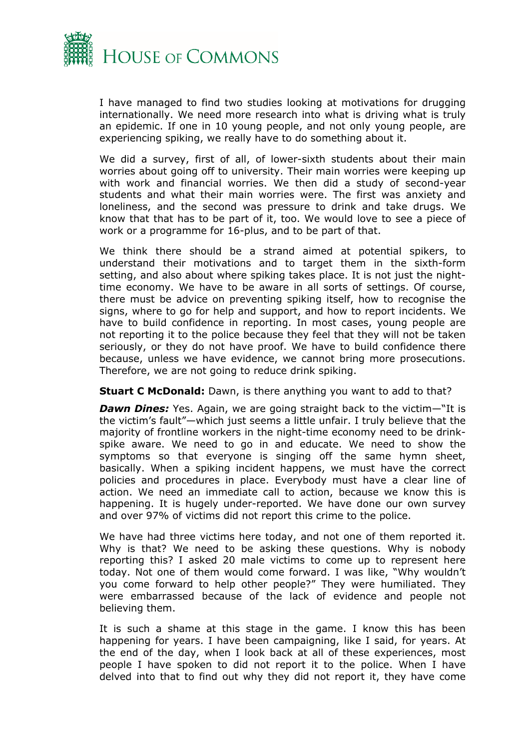

I have managed to find two studies looking at motivations for drugging internationally. We need more research into what is driving what is truly an epidemic. If one in 10 young people, and not only young people, are experiencing spiking, we really have to do something about it.

We did a survey, first of all, of lower-sixth students about their main worries about going off to university. Their main worries were keeping up with work and financial worries. We then did a study of second-year students and what their main worries were. The first was anxiety and loneliness, and the second was pressure to drink and take drugs. We know that that has to be part of it, too. We would love to see a piece of work or a programme for 16-plus, and to be part of that.

We think there should be a strand aimed at potential spikers, to understand their motivations and to target them in the sixth-form setting, and also about where spiking takes place. It is not just the nighttime economy. We have to be aware in all sorts of settings. Of course, there must be advice on preventing spiking itself, how to recognise the signs, where to go for help and support, and how to report incidents. We have to build confidence in reporting. In most cases, young people are not reporting it to the police because they feel that they will not be taken seriously, or they do not have proof. We have to build confidence there because, unless we have evidence, we cannot bring more prosecutions. Therefore, we are not going to reduce drink spiking.

**Stuart C McDonald:** Dawn, is there anything you want to add to that?

*Dawn Dines:* Yes. Again, we are going straight back to the victim—"It is the victim's fault"—which just seems a little unfair. I truly believe that the majority of frontline workers in the night-time economy need to be drinkspike aware. We need to go in and educate. We need to show the symptoms so that everyone is singing off the same hymn sheet, basically. When a spiking incident happens, we must have the correct policies and procedures in place. Everybody must have a clear line of action. We need an immediate call to action, because we know this is happening. It is hugely under-reported. We have done our own survey and over 97% of victims did not report this crime to the police.

We have had three victims here today, and not one of them reported it. Why is that? We need to be asking these questions. Why is nobody reporting this? I asked 20 male victims to come up to represent here today. Not one of them would come forward. I was like, "Why wouldn't you come forward to help other people?" They were humiliated. They were embarrassed because of the lack of evidence and people not believing them.

It is such a shame at this stage in the game. I know this has been happening for years. I have been campaigning, like I said, for years. At the end of the day, when I look back at all of these experiences, most people I have spoken to did not report it to the police. When I have delved into that to find out why they did not report it, they have come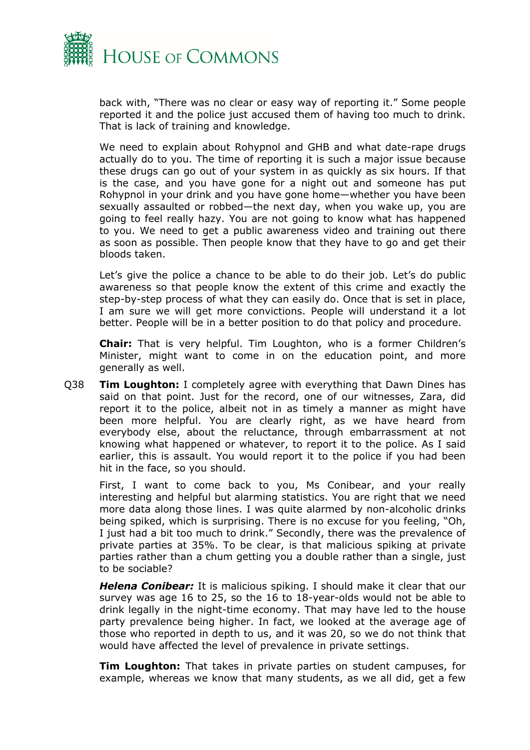

back with, "There was no clear or easy way of reporting it." Some people reported it and the police just accused them of having too much to drink. That is lack of training and knowledge.

We need to explain about Rohypnol and GHB and what date-rape drugs actually do to you. The time of reporting it is such a major issue because these drugs can go out of your system in as quickly as six hours. If that is the case, and you have gone for a night out and someone has put Rohypnol in your drink and you have gone home—whether you have been sexually assaulted or robbed—the next day, when you wake up, you are going to feel really hazy. You are not going to know what has happened to you. We need to get a public awareness video and training out there as soon as possible. Then people know that they have to go and get their bloods taken.

Let's give the police a chance to be able to do their job. Let's do public awareness so that people know the extent of this crime and exactly the step-by-step process of what they can easily do. Once that is set in place, I am sure we will get more convictions. People will understand it a lot better. People will be in a better position to do that policy and procedure.

**Chair:** That is very helpful. Tim Loughton, who is a former Children's Minister, might want to come in on the education point, and more generally as well.

Q38 **Tim Loughton:** I completely agree with everything that Dawn Dines has said on that point. Just for the record, one of our witnesses, Zara, did report it to the police, albeit not in as timely a manner as might have been more helpful. You are clearly right, as we have heard from everybody else, about the reluctance, through embarrassment at not knowing what happened or whatever, to report it to the police. As I said earlier, this is assault. You would report it to the police if you had been hit in the face, so you should.

First, I want to come back to you, Ms Conibear, and your really interesting and helpful but alarming statistics. You are right that we need more data along those lines. I was quite alarmed by non-alcoholic drinks being spiked, which is surprising. There is no excuse for you feeling, "Oh, I just had a bit too much to drink." Secondly, there was the prevalence of private parties at 35%. To be clear, is that malicious spiking at private parties rather than a chum getting you a double rather than a single, just to be sociable?

*Helena Conibear:* It is malicious spiking. I should make it clear that our survey was age 16 to 25, so the 16 to 18-year-olds would not be able to drink legally in the night-time economy. That may have led to the house party prevalence being higher. In fact, we looked at the average age of those who reported in depth to us, and it was 20, so we do not think that would have affected the level of prevalence in private settings.

**Tim Loughton:** That takes in private parties on student campuses, for example, whereas we know that many students, as we all did, get a few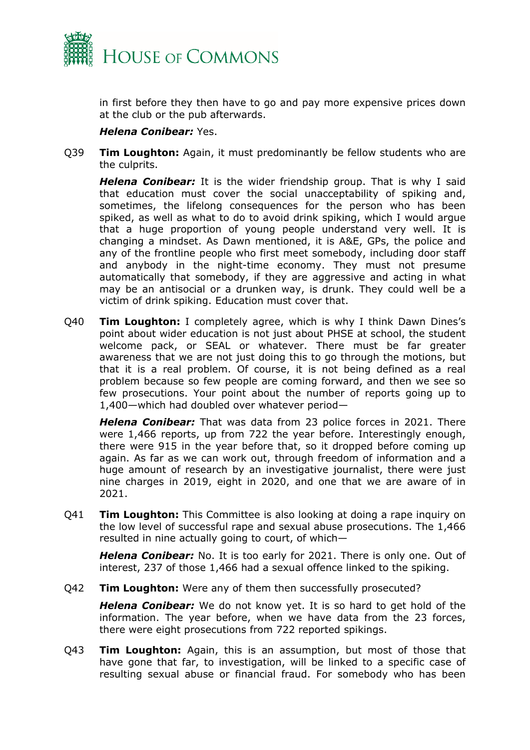

in first before they then have to go and pay more expensive prices down at the club or the pub afterwards.

#### *Helena Conibear:* Yes.

Q39 **Tim Loughton:** Again, it must predominantly be fellow students who are the culprits.

*Helena Conibear:* It is the wider friendship group. That is why I said that education must cover the social unacceptability of spiking and, sometimes, the lifelong consequences for the person who has been spiked, as well as what to do to avoid drink spiking, which I would argue that a huge proportion of young people understand very well. It is changing a mindset. As Dawn mentioned, it is A&E, GPs, the police and any of the frontline people who first meet somebody, including door staff and anybody in the night-time economy. They must not presume automatically that somebody, if they are aggressive and acting in what may be an antisocial or a drunken way, is drunk. They could well be a victim of drink spiking. Education must cover that.

Q40 **Tim Loughton:** I completely agree, which is why I think Dawn Dines's point about wider education is not just about PHSE at school, the student welcome pack, or SEAL or whatever. There must be far greater awareness that we are not just doing this to go through the motions, but that it is a real problem. Of course, it is not being defined as a real problem because so few people are coming forward, and then we see so few prosecutions. Your point about the number of reports going up to 1,400—which had doubled over whatever period—

*Helena Conibear:* That was data from 23 police forces in 2021. There were 1,466 reports, up from 722 the year before. Interestingly enough, there were 915 in the year before that, so it dropped before coming up again. As far as we can work out, through freedom of information and a huge amount of research by an investigative journalist, there were just nine charges in 2019, eight in 2020, and one that we are aware of in 2021.

Q41 **Tim Loughton:** This Committee is also looking at doing a rape inquiry on the low level of successful rape and sexual abuse prosecutions. The 1,466 resulted in nine actually going to court, of which—

*Helena Conibear:* No. It is too early for 2021. There is only one. Out of interest, 237 of those 1,466 had a sexual offence linked to the spiking.

Q42 **Tim Loughton:** Were any of them then successfully prosecuted?

*Helena Conibear:* We do not know yet. It is so hard to get hold of the information. The year before, when we have data from the 23 forces, there were eight prosecutions from 722 reported spikings.

Q43 **Tim Loughton:** Again, this is an assumption, but most of those that have gone that far, to investigation, will be linked to a specific case of resulting sexual abuse or financial fraud. For somebody who has been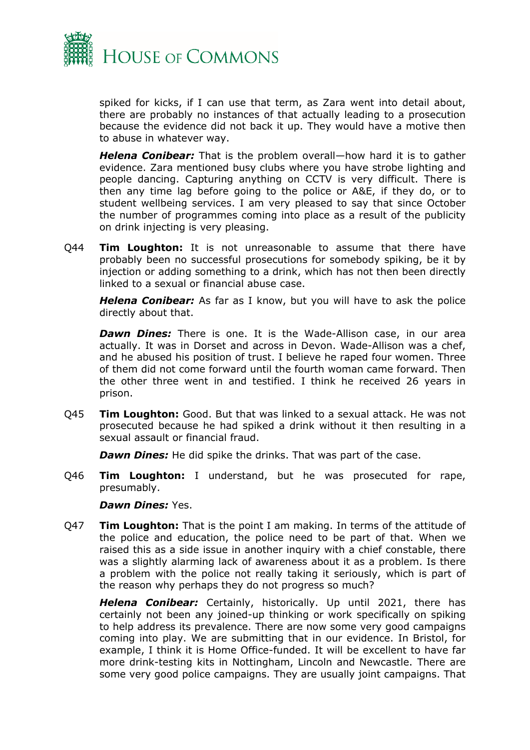

spiked for kicks, if I can use that term, as Zara went into detail about, there are probably no instances of that actually leading to a prosecution because the evidence did not back it up. They would have a motive then to abuse in whatever way.

*Helena Conibear:* That is the problem overall—how hard it is to gather evidence. Zara mentioned busy clubs where you have strobe lighting and people dancing. Capturing anything on CCTV is very difficult. There is then any time lag before going to the police or A&E, if they do, or to student wellbeing services. I am very pleased to say that since October the number of programmes coming into place as a result of the publicity on drink injecting is very pleasing.

Q44 **Tim Loughton:** It is not unreasonable to assume that there have probably been no successful prosecutions for somebody spiking, be it by injection or adding something to a drink, which has not then been directly linked to a sexual or financial abuse case.

*Helena Conibear:* As far as I know, but you will have to ask the police directly about that.

*Dawn Dines:* There is one. It is the Wade-Allison case, in our area actually. It was in Dorset and across in Devon. Wade-Allison was a chef, and he abused his position of trust. I believe he raped four women. Three of them did not come forward until the fourth woman came forward. Then the other three went in and testified. I think he received 26 years in prison.

Q45 **Tim Loughton:** Good. But that was linked to a sexual attack. He was not prosecuted because he had spiked a drink without it then resulting in a sexual assault or financial fraud.

*Dawn Dines:* He did spike the drinks. That was part of the case.

Q46 **Tim Loughton:** I understand, but he was prosecuted for rape, presumably.

#### *Dawn Dines:* Yes.

Q47 **Tim Loughton:** That is the point I am making. In terms of the attitude of the police and education, the police need to be part of that. When we raised this as a side issue in another inquiry with a chief constable, there was a slightly alarming lack of awareness about it as a problem. Is there a problem with the police not really taking it seriously, which is part of the reason why perhaps they do not progress so much?

*Helena Conibear:* Certainly, historically. Up until 2021, there has certainly not been any joined-up thinking or work specifically on spiking to help address its prevalence. There are now some very good campaigns coming into play. We are submitting that in our evidence. In Bristol, for example, I think it is Home Office-funded. It will be excellent to have far more drink-testing kits in Nottingham, Lincoln and Newcastle. There are some very good police campaigns. They are usually joint campaigns. That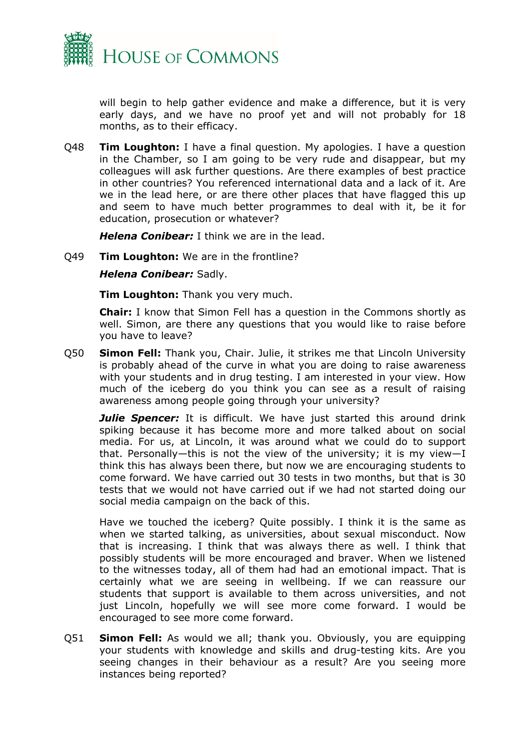

will begin to help gather evidence and make a difference, but it is very early days, and we have no proof yet and will not probably for 18 months, as to their efficacy.

Q48 **Tim Loughton:** I have a final question. My apologies. I have a question in the Chamber, so I am going to be very rude and disappear, but my colleagues will ask further questions. Are there examples of best practice in other countries? You referenced international data and a lack of it. Are we in the lead here, or are there other places that have flagged this up and seem to have much better programmes to deal with it, be it for education, prosecution or whatever?

*Helena Conibear:* I think we are in the lead.

#### Q49 **Tim Loughton:** We are in the frontline?

*Helena Conibear:* Sadly.

**Tim Loughton:** Thank you very much.

**Chair:** I know that Simon Fell has a question in the Commons shortly as well. Simon, are there any questions that you would like to raise before you have to leave?

Q50 **Simon Fell:** Thank you, Chair. Julie, it strikes me that Lincoln University is probably ahead of the curve in what you are doing to raise awareness with your students and in drug testing. I am interested in your view. How much of the iceberg do you think you can see as a result of raising awareness among people going through your university?

**Julie Spencer:** It is difficult. We have just started this around drink spiking because it has become more and more talked about on social media. For us, at Lincoln, it was around what we could do to support that. Personally—this is not the view of the university; it is my view—I think this has always been there, but now we are encouraging students to come forward. We have carried out 30 tests in two months, but that is 30 tests that we would not have carried out if we had not started doing our social media campaign on the back of this.

Have we touched the iceberg? Quite possibly. I think it is the same as when we started talking, as universities, about sexual misconduct. Now that is increasing. I think that was always there as well. I think that possibly students will be more encouraged and braver. When we listened to the witnesses today, all of them had had an emotional impact. That is certainly what we are seeing in wellbeing. If we can reassure our students that support is available to them across universities, and not just Lincoln, hopefully we will see more come forward. I would be encouraged to see more come forward.

Q51 **Simon Fell:** As would we all; thank you. Obviously, you are equipping your students with knowledge and skills and drug-testing kits. Are you seeing changes in their behaviour as a result? Are you seeing more instances being reported?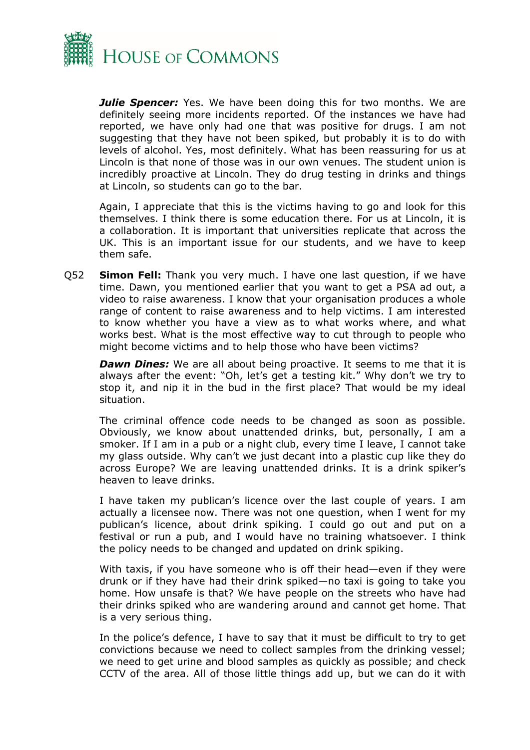

*Julie Spencer:* Yes. We have been doing this for two months. We are definitely seeing more incidents reported. Of the instances we have had reported, we have only had one that was positive for drugs. I am not suggesting that they have not been spiked, but probably it is to do with levels of alcohol. Yes, most definitely. What has been reassuring for us at Lincoln is that none of those was in our own venues. The student union is incredibly proactive at Lincoln. They do drug testing in drinks and things at Lincoln, so students can go to the bar.

Again, I appreciate that this is the victims having to go and look for this themselves. I think there is some education there. For us at Lincoln, it is a collaboration. It is important that universities replicate that across the UK. This is an important issue for our students, and we have to keep them safe.

Q52 **Simon Fell:** Thank you very much. I have one last question, if we have time. Dawn, you mentioned earlier that you want to get a PSA ad out, a video to raise awareness. I know that your organisation produces a whole range of content to raise awareness and to help victims. I am interested to know whether you have a view as to what works where, and what works best. What is the most effective way to cut through to people who might become victims and to help those who have been victims?

*Dawn Dines:* We are all about being proactive. It seems to me that it is always after the event: "Oh, let's get a testing kit." Why don't we try to stop it, and nip it in the bud in the first place? That would be my ideal situation.

The criminal offence code needs to be changed as soon as possible. Obviously, we know about unattended drinks, but, personally, I am a smoker. If I am in a pub or a night club, every time I leave, I cannot take my glass outside. Why can't we just decant into a plastic cup like they do across Europe? We are leaving unattended drinks. It is a drink spiker's heaven to leave drinks.

I have taken my publican's licence over the last couple of years. I am actually a licensee now. There was not one question, when I went for my publican's licence, about drink spiking. I could go out and put on a festival or run a pub, and I would have no training whatsoever. I think the policy needs to be changed and updated on drink spiking.

With taxis, if you have someone who is off their head—even if they were drunk or if they have had their drink spiked—no taxi is going to take you home. How unsafe is that? We have people on the streets who have had their drinks spiked who are wandering around and cannot get home. That is a very serious thing.

In the police's defence, I have to say that it must be difficult to try to get convictions because we need to collect samples from the drinking vessel; we need to get urine and blood samples as quickly as possible; and check CCTV of the area. All of those little things add up, but we can do it with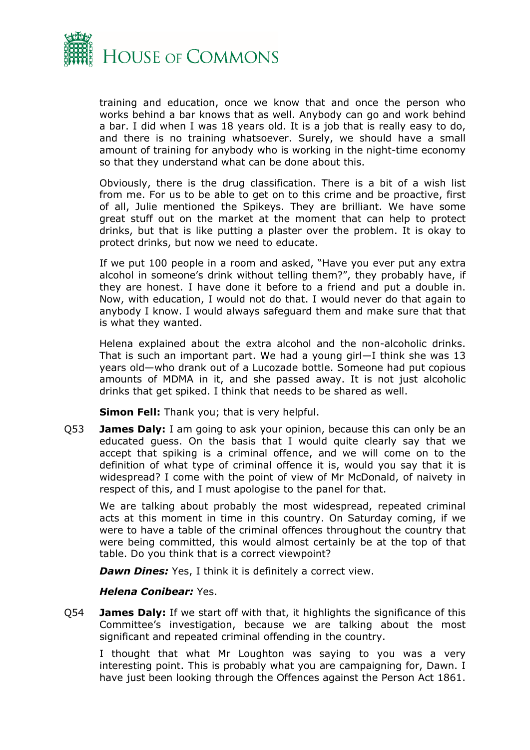

training and education, once we know that and once the person who works behind a bar knows that as well. Anybody can go and work behind a bar. I did when I was 18 years old. It is a job that is really easy to do, and there is no training whatsoever. Surely, we should have a small amount of training for anybody who is working in the night-time economy so that they understand what can be done about this.

Obviously, there is the drug classification. There is a bit of a wish list from me. For us to be able to get on to this crime and be proactive, first of all, Julie mentioned the Spikeys. They are brilliant. We have some great stuff out on the market at the moment that can help to protect drinks, but that is like putting a plaster over the problem. It is okay to protect drinks, but now we need to educate.

If we put 100 people in a room and asked, "Have you ever put any extra alcohol in someone's drink without telling them?", they probably have, if they are honest. I have done it before to a friend and put a double in. Now, with education, I would not do that. I would never do that again to anybody I know. I would always safeguard them and make sure that that is what they wanted.

Helena explained about the extra alcohol and the non-alcoholic drinks. That is such an important part. We had a young girl—I think she was 13 years old—who drank out of a Lucozade bottle. Someone had put copious amounts of MDMA in it, and she passed away. It is not just alcoholic drinks that get spiked. I think that needs to be shared as well.

**Simon Fell:** Thank you; that is very helpful.

Q53 **James Daly:** I am going to ask your opinion, because this can only be an educated guess. On the basis that I would quite clearly say that we accept that spiking is a criminal offence, and we will come on to the definition of what type of criminal offence it is, would you say that it is widespread? I come with the point of view of Mr McDonald, of naivety in respect of this, and I must apologise to the panel for that.

We are talking about probably the most widespread, repeated criminal acts at this moment in time in this country. On Saturday coming, if we were to have a table of the criminal offences throughout the country that were being committed, this would almost certainly be at the top of that table. Do you think that is a correct viewpoint?

*Dawn Dines:* Yes, I think it is definitely a correct view.

#### *Helena Conibear:* Yes.

Q54 **James Daly:** If we start off with that, it highlights the significance of this Committee's investigation, because we are talking about the most significant and repeated criminal offending in the country.

I thought that what Mr Loughton was saying to you was a very interesting point. This is probably what you are campaigning for, Dawn. I have just been looking through the Offences against the Person Act 1861.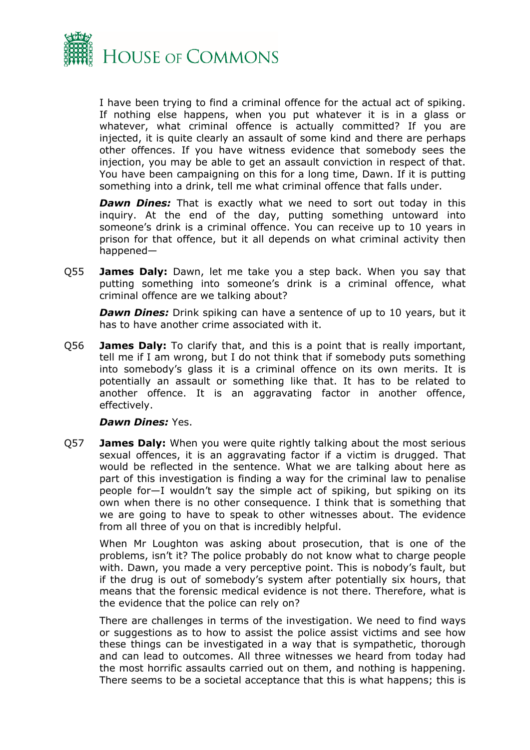

I have been trying to find a criminal offence for the actual act of spiking. If nothing else happens, when you put whatever it is in a glass or whatever, what criminal offence is actually committed? If you are injected, it is quite clearly an assault of some kind and there are perhaps other offences. If you have witness evidence that somebody sees the injection, you may be able to get an assault conviction in respect of that. You have been campaigning on this for a long time, Dawn. If it is putting something into a drink, tell me what criminal offence that falls under.

**Dawn Dines:** That is exactly what we need to sort out today in this inquiry. At the end of the day, putting something untoward into someone's drink is a criminal offence. You can receive up to 10 years in prison for that offence, but it all depends on what criminal activity then happened—

Q55 **James Daly:** Dawn, let me take you a step back. When you say that putting something into someone's drink is a criminal offence, what criminal offence are we talking about?

*Dawn Dines:* Drink spiking can have a sentence of up to 10 years, but it has to have another crime associated with it.

Q56 **James Daly:** To clarify that, and this is a point that is really important, tell me if I am wrong, but I do not think that if somebody puts something into somebody's glass it is a criminal offence on its own merits. It is potentially an assault or something like that. It has to be related to another offence. It is an aggravating factor in another offence, effectively.

#### *Dawn Dines:* Yes.

Q57 **James Daly:** When you were quite rightly talking about the most serious sexual offences, it is an aggravating factor if a victim is drugged. That would be reflected in the sentence. What we are talking about here as part of this investigation is finding a way for the criminal law to penalise people for—I wouldn't say the simple act of spiking, but spiking on its own when there is no other consequence. I think that is something that we are going to have to speak to other witnesses about. The evidence from all three of you on that is incredibly helpful.

When Mr Loughton was asking about prosecution, that is one of the problems, isn't it? The police probably do not know what to charge people with. Dawn, you made a very perceptive point. This is nobody's fault, but if the drug is out of somebody's system after potentially six hours, that means that the forensic medical evidence is not there. Therefore, what is the evidence that the police can rely on?

There are challenges in terms of the investigation. We need to find ways or suggestions as to how to assist the police assist victims and see how these things can be investigated in a way that is sympathetic, thorough and can lead to outcomes. All three witnesses we heard from today had the most horrific assaults carried out on them, and nothing is happening. There seems to be a societal acceptance that this is what happens; this is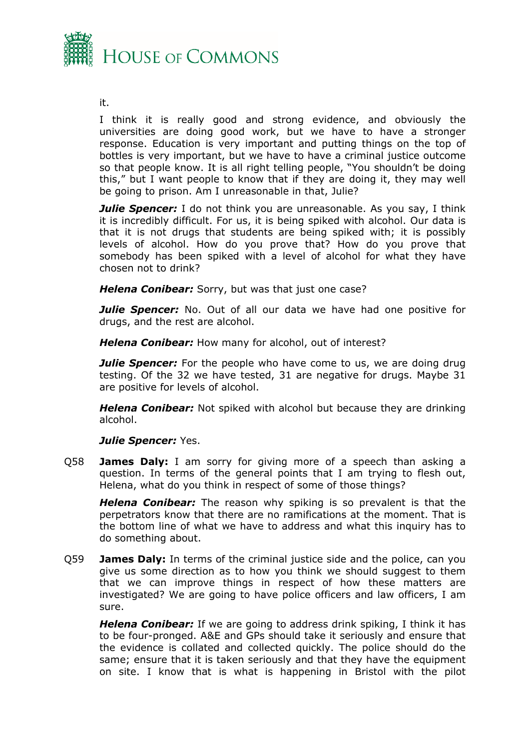

it.

I think it is really good and strong evidence, and obviously the universities are doing good work, but we have to have a stronger response. Education is very important and putting things on the top of bottles is very important, but we have to have a criminal justice outcome so that people know. It is all right telling people, "You shouldn't be doing this," but I want people to know that if they are doing it, they may well be going to prison. Am I unreasonable in that, Julie?

*Julie Spencer:* I do not think you are unreasonable. As you say, I think it is incredibly difficult. For us, it is being spiked with alcohol. Our data is that it is not drugs that students are being spiked with; it is possibly levels of alcohol. How do you prove that? How do you prove that somebody has been spiked with a level of alcohol for what they have chosen not to drink?

*Helena Conibear:* Sorry, but was that just one case?

*Julie Spencer:* No. Out of all our data we have had one positive for drugs, and the rest are alcohol.

*Helena Conibear:* How many for alcohol, out of interest?

*Julie Spencer:* For the people who have come to us, we are doing drug testing. Of the 32 we have tested, 31 are negative for drugs. Maybe 31 are positive for levels of alcohol.

*Helena Conibear:* Not spiked with alcohol but because they are drinking alcohol.

#### *Julie Spencer: Yes.*

Q58 **James Daly:** I am sorry for giving more of a speech than asking a question. In terms of the general points that I am trying to flesh out, Helena, what do you think in respect of some of those things?

*Helena Conibear:* The reason why spiking is so prevalent is that the perpetrators know that there are no ramifications at the moment. That is the bottom line of what we have to address and what this inquiry has to do something about.

Q59 **James Daly:** In terms of the criminal justice side and the police, can you give us some direction as to how you think we should suggest to them that we can improve things in respect of how these matters are investigated? We are going to have police officers and law officers, I am sure.

*Helena Conibear:* If we are going to address drink spiking, I think it has to be four-pronged. A&E and GPs should take it seriously and ensure that the evidence is collated and collected quickly. The police should do the same; ensure that it is taken seriously and that they have the equipment on site. I know that is what is happening in Bristol with the pilot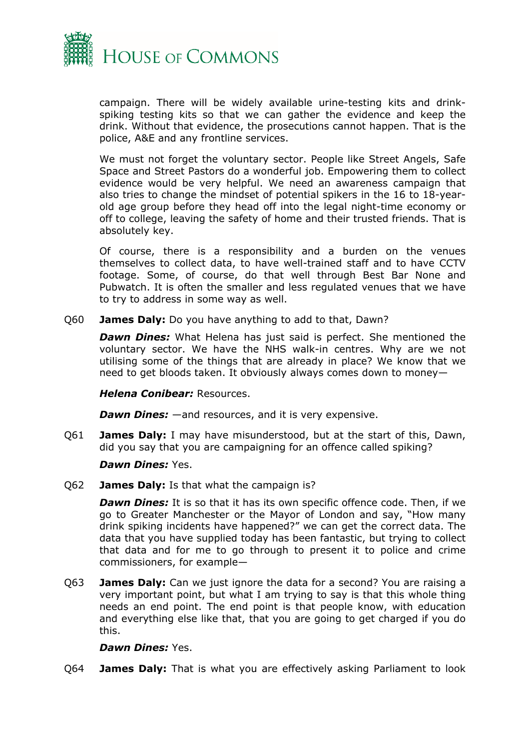

campaign. There will be widely available urine-testing kits and drinkspiking testing kits so that we can gather the evidence and keep the drink. Without that evidence, the prosecutions cannot happen. That is the police, A&E and any frontline services.

We must not forget the voluntary sector. People like Street Angels, Safe Space and Street Pastors do a wonderful job. Empowering them to collect evidence would be very helpful. We need an awareness campaign that also tries to change the mindset of potential spikers in the 16 to 18-yearold age group before they head off into the legal night-time economy or off to college, leaving the safety of home and their trusted friends. That is absolutely key.

Of course, there is a responsibility and a burden on the venues themselves to collect data, to have well-trained staff and to have CCTV footage. Some, of course, do that well through Best Bar None and Pubwatch. It is often the smaller and less regulated venues that we have to try to address in some way as well.

Q60 **James Daly:** Do you have anything to add to that, Dawn?

*Dawn Dines:* What Helena has just said is perfect. She mentioned the voluntary sector. We have the NHS walk-in centres. Why are we not utilising some of the things that are already in place? We know that we need to get bloods taken. It obviously always comes down to money—

*Helena Conibear:* Resources.

*Dawn Dines:* —and resources, and it is very expensive.

Q61 **James Daly:** I may have misunderstood, but at the start of this, Dawn, did you say that you are campaigning for an offence called spiking?

*Dawn Dines:* Yes.

Q62 **James Daly:** Is that what the campaign is?

*Dawn Dines:* It is so that it has its own specific offence code. Then, if we go to Greater Manchester or the Mayor of London and say, "How many drink spiking incidents have happened?" we can get the correct data. The data that you have supplied today has been fantastic, but trying to collect that data and for me to go through to present it to police and crime commissioners, for example—

Q63 **James Daly:** Can we just ignore the data for a second? You are raising a very important point, but what I am trying to say is that this whole thing needs an end point. The end point is that people know, with education and everything else like that, that you are going to get charged if you do this.

#### *Dawn Dines:* Yes.

Q64 **James Daly:** That is what you are effectively asking Parliament to look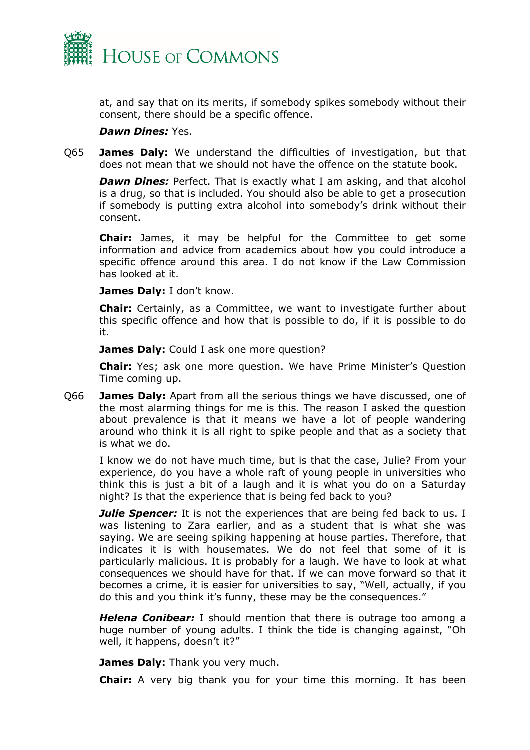

at, and say that on its merits, if somebody spikes somebody without their consent, there should be a specific offence.

#### *Dawn Dines:* Yes.

Q65 **James Daly:** We understand the difficulties of investigation, but that does not mean that we should not have the offence on the statute book.

*Dawn Dines:* Perfect. That is exactly what I am asking, and that alcohol is a drug, so that is included. You should also be able to get a prosecution if somebody is putting extra alcohol into somebody's drink without their consent.

**Chair:** James, it may be helpful for the Committee to get some information and advice from academics about how you could introduce a specific offence around this area. I do not know if the Law Commission has looked at it.

**James Daly:** I don't know.

**Chair:** Certainly, as a Committee, we want to investigate further about this specific offence and how that is possible to do, if it is possible to do it.

**James Daly:** Could I ask one more question?

**Chair:** Yes; ask one more question. We have Prime Minister's Question Time coming up.

Q66 **James Daly:** Apart from all the serious things we have discussed, one of the most alarming things for me is this. The reason I asked the question about prevalence is that it means we have a lot of people wandering around who think it is all right to spike people and that as a society that is what we do.

I know we do not have much time, but is that the case, Julie? From your experience, do you have a whole raft of young people in universities who think this is just a bit of a laugh and it is what you do on a Saturday night? Is that the experience that is being fed back to you?

*Julie Spencer:* It is not the experiences that are being fed back to us. I was listening to Zara earlier, and as a student that is what she was saying. We are seeing spiking happening at house parties. Therefore, that indicates it is with housemates. We do not feel that some of it is particularly malicious. It is probably for a laugh. We have to look at what consequences we should have for that. If we can move forward so that it becomes a crime, it is easier for universities to say, "Well, actually, if you do this and you think it's funny, these may be the consequences."

*Helena Conibear:* I should mention that there is outrage too among a huge number of young adults. I think the tide is changing against, "Oh well, it happens, doesn't it?"

**James Daly:** Thank you very much.

**Chair:** A very big thank you for your time this morning. It has been